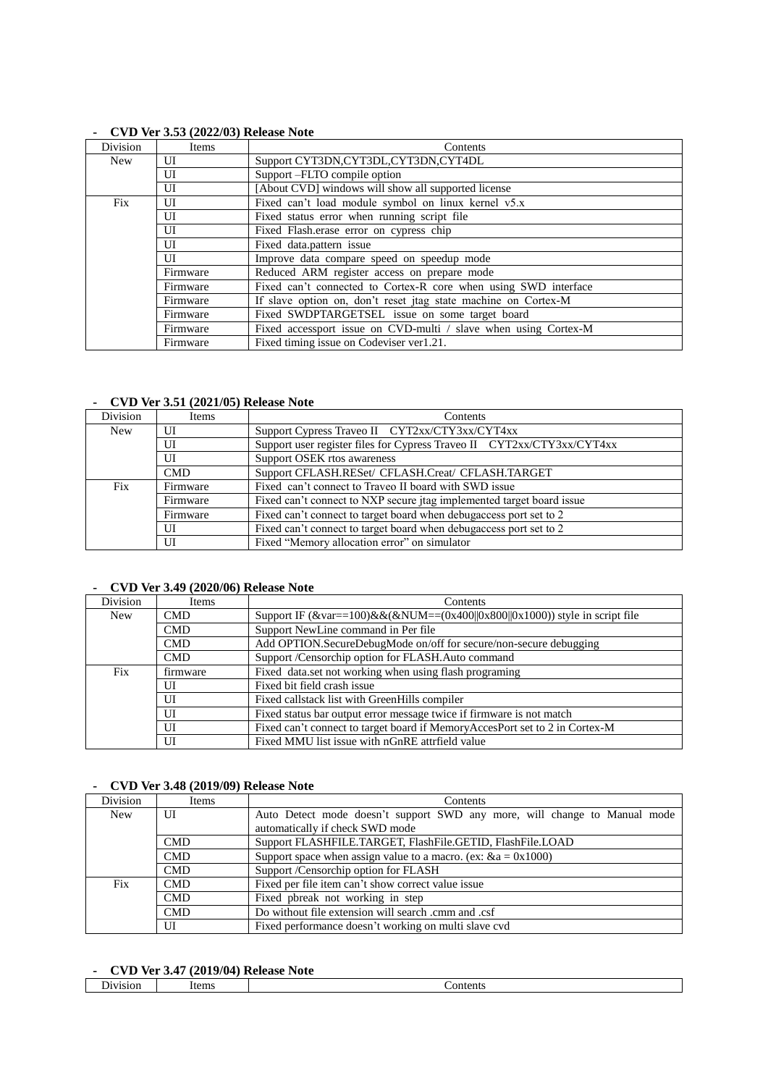| Division   | Items          | Contents                                                        |
|------------|----------------|-----------------------------------------------------------------|
| <b>New</b> | UI             | Support CYT3DN, CYT3DL, CYT3DN, CYT4DL                          |
|            | UI             | Support -FLTO compile option                                    |
|            | UI             | [About CVD] windows will show all supported license             |
| Fix        | UI             | Fixed can't load module symbol on linux kernel v5.x             |
|            | UI             | Fixed status error when running script file                     |
|            | UI             | Fixed Flash, erase error on cypress chip                        |
|            | UI             | Fixed data.pattern issue                                        |
|            | $\overline{U}$ | Improve data compare speed on speedup mode                      |
|            | Firmware       | Reduced ARM register access on prepare mode                     |
|            | Firmware       | Fixed can't connected to Cortex-R core when using SWD interface |
|            | Firmware       | If slave option on, don't reset jtag state machine on Cortex-M  |
|            | Firmware       | Fixed SWDPTARGETSEL issue on some target board                  |
|            | Firmware       | Fixed accessport issue on CVD-multi / slave when using Cortex-M |
|            | Firmware       | Fixed timing issue on Codeviser ver1.21.                        |

#### **- CVD Ver 3.53 (2022/03) Release Note**

#### **- CVD Ver 3.51 (2021/05) Release Note**

| Division   | Items      | Contents                                                               |
|------------|------------|------------------------------------------------------------------------|
| <b>New</b> | UІ         | Support Cypress Traveo II CYT2xx/CTY3xx/CYT4xx                         |
|            | UI         | Support user register files for Cypress Traveo II CYT2xx/CTY3xx/CYT4xx |
|            | UI         | Support OSEK rtos awareness                                            |
|            | <b>CMD</b> | Support CFLASH.RESet/ CFLASH.Creat/ CFLASH.TARGET                      |
| Fix        | Firmware   | Fixed can't connect to Traveo II board with SWD issue                  |
|            | Firmware   | Fixed can't connect to NXP secure jtag implemented target board issue  |
|            | Firmware   | Fixed can't connect to target board when debugacess port set to 2      |
|            | UІ         | Fixed can't connect to target board when debugacess port set to 2      |
|            | UI         | Fixed "Memory allocation error" on simulator                           |

#### **- CVD Ver 3.49 (2020/06) Release Note**

| Division   | Items      | Contents                                                                        |
|------------|------------|---------------------------------------------------------------------------------|
| <b>New</b> | <b>CMD</b> | Support IF $(\&var=100)\&&(\&NUM=-(0x400  0x800  0x1000))$ style in script file |
|            | <b>CMD</b> | Support NewLine command in Per file                                             |
|            | <b>CMD</b> | Add OPTION.SecureDebugMode on/off for secure/non-secure debugging               |
|            | <b>CMD</b> | Support /Censorchip option for FLASH.Auto command                               |
| Fix        | firmware   | Fixed data.set not working when using flash programing                          |
|            | UI         | Fixed bit field crash issue                                                     |
|            | UI         | Fixed callstack list with GreenHills compiler                                   |
|            | UI         | Fixed status bar output error message twice if firmware is not match            |
|            | UI         | Fixed can't connect to target board if MemoryAccesPort set to 2 in Cortex-M     |
|            | UI         | Fixed MMU list issue with nGnRE attrifield value                                |

#### **- CVD Ver 3.48 (2019/09) Release Note**

| Division   | Items      | Contents                                                                  |
|------------|------------|---------------------------------------------------------------------------|
| <b>New</b> | UI         | Auto Detect mode doesn't support SWD any more, will change to Manual mode |
|            |            | automatically if check SWD mode                                           |
|            | <b>CMD</b> | Support FLASHFILE.TARGET, FlashFile.GETID, FlashFile.LOAD                 |
|            | <b>CMD</b> | Support space when assign value to a macro. (ex: $\&a = 0x1000$ )         |
|            | <b>CMD</b> | Support /Censorchip option for FLASH                                      |
| Fix        | <b>CMD</b> | Fixed per file item can't show correct value issue                        |
|            | <b>CMD</b> | Fixed pbreak not working in step                                          |
|            | <b>CMD</b> | Do without file extension will search .cmm and .csf                       |
|            | UI         | Fixed performance doesn't working on multi slave cvd                      |

### **- CVD Ver 3.47 (2019/04) Release Note**

|   | ___<br>__<br>-------<br>.<br>__<br>----------------<br>__<br>the contract of the contract of |      |         |
|---|----------------------------------------------------------------------------------------------|------|---------|
| – | J1V1S1OF                                                                                     | tems | ontents |
|   |                                                                                              |      |         |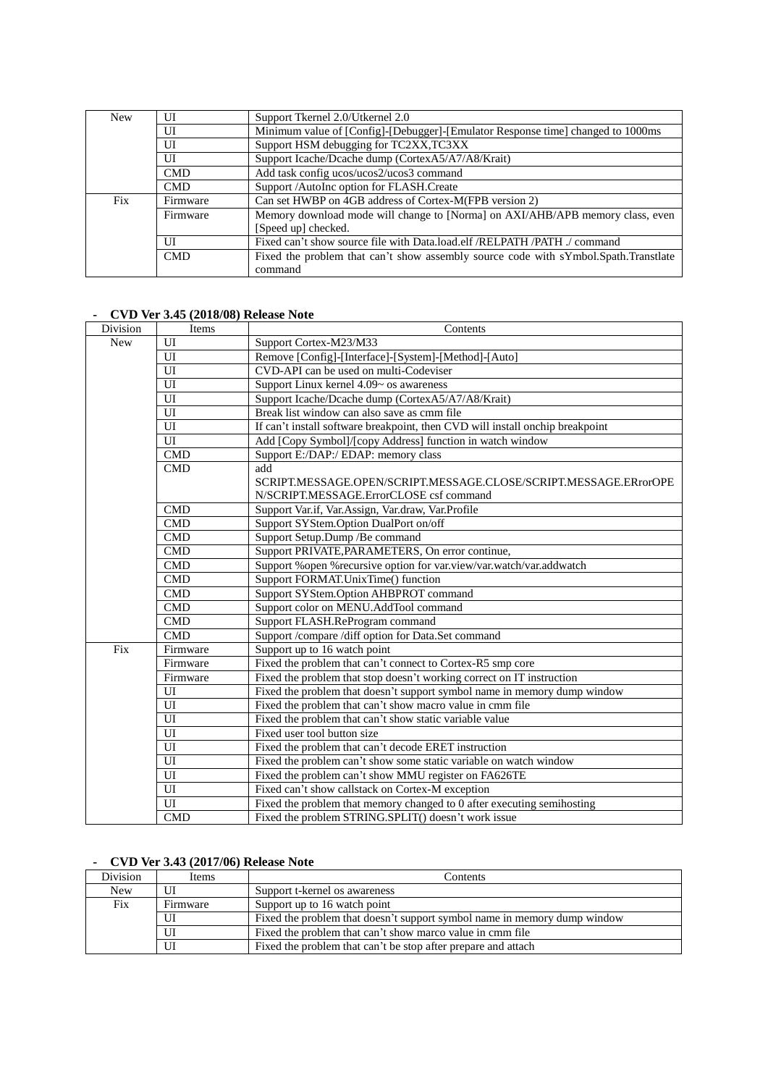| <b>New</b> | U          | Support Tkernel 2.0/Utkernel 2.0                                                    |
|------------|------------|-------------------------------------------------------------------------------------|
|            | UI         | Minimum value of [Config]-[Debugger]-[Emulator Response time] changed to 1000ms     |
|            | UI         | Support HSM debugging for TC2XX, TC3XX                                              |
|            | UI         | Support Icache/Dcache dump (CortexA5/A7/A8/Krait)                                   |
|            | <b>CMD</b> | Add task config ucos/ucos2/ucos3 command                                            |
|            | <b>CMD</b> | Support /AutoInc option for FLASH.Create                                            |
| Fix        | Firmware   | Can set HWBP on 4GB address of Cortex-M(FPB version 2)                              |
|            | Firmware   | Memory download mode will change to [Norma] on AXI/AHB/APB memory class, even       |
|            |            | [Speed up] checked.                                                                 |
|            | UI         | Fixed can't show source file with Data.load.elf /RELPATH /PATH ./ command           |
|            | <b>CMD</b> | Fixed the problem that can't show assembly source code with sYmbol.Spath.Transtlate |
|            |            | command                                                                             |

### **- CVD Ver 3.45 (2018/08) Release Note**

| Division   | Items          | Contents                                                                      |
|------------|----------------|-------------------------------------------------------------------------------|
| <b>New</b> | UI             | Support Cortex-M23/M33                                                        |
|            | UI             | Remove [Config]-[Interface]-[System]-[Method]-[Auto]                          |
|            | UI             | CVD-API can be used on multi-Codeviser                                        |
|            | UI             | Support Linux kernel 4.09~ os awareness                                       |
|            | $\overline{U}$ | Support Icache/Dcache dump (CortexA5/A7/A8/Krait)                             |
|            | UI             | Break list window can also save as cmm file                                   |
|            | UI             | If can't install software breakpoint, then CVD will install onchip breakpoint |
|            | UI             | Add [Copy Symbol]/[copy Address] function in watch window                     |
|            | <b>CMD</b>     | Support E:/DAP:/ EDAP: memory class                                           |
|            | <b>CMD</b>     | add                                                                           |
|            |                | SCRIPT.MESSAGE.OPEN/SCRIPT.MESSAGE.CLOSE/SCRIPT.MESSAGE.ERrorOPE              |
|            |                | N/SCRIPT.MESSAGE.ErrorCLOSE csf command                                       |
|            | <b>CMD</b>     | Support Var.if, Var.Assign, Var.draw, Var.Profile                             |
|            | <b>CMD</b>     | Support SYStem.Option DualPort on/off                                         |
|            | <b>CMD</b>     | Support Setup.Dump / Be command                                               |
|            | <b>CMD</b>     | Support PRIVATE, PARAMETERS, On error continue,                               |
|            | <b>CMD</b>     | Support % open % recursive option for var.view/var.watch/var.addwatch         |
|            | <b>CMD</b>     | Support FORMAT.UnixTime() function                                            |
|            | <b>CMD</b>     | Support SYStem.Option AHBPROT command                                         |
|            | <b>CMD</b>     | Support color on MENU.AddTool command                                         |
|            | <b>CMD</b>     | Support FLASH.ReProgram command                                               |
|            | <b>CMD</b>     | Support /compare /diff option for Data.Set command                            |
| Fix        | Firmware       | Support up to 16 watch point                                                  |
|            | Firmware       | Fixed the problem that can't connect to Cortex-R5 smp core                    |
|            | Firmware       | Fixed the problem that stop doesn't working correct on IT instruction         |
|            | UI             | Fixed the problem that doesn't support symbol name in memory dump window      |
|            | UI             | Fixed the problem that can't show macro value in cmm file                     |
|            | UI             | Fixed the problem that can't show static variable value                       |
|            | $\overline{U}$ | Fixed user tool button size                                                   |
|            | UI             | Fixed the problem that can't decode ERET instruction                          |
|            | UI             | Fixed the problem can't show some static variable on watch window             |
|            | UI             | Fixed the problem can't show MMU register on FA626TE                          |
|            | UI             | Fixed can't show callstack on Cortex-M exception                              |
|            | UI             | Fixed the problem that memory changed to 0 after executing semihosting        |
|            | CMD            | Fixed the problem STRING.SPLIT() doesn't work issue                           |

### **- CVD Ver 3.43 (2017/06) Release Note**

| Division | Items    | Contents                                                                 |
|----------|----------|--------------------------------------------------------------------------|
| New      | U        | Support t-kernel os awareness                                            |
| Fix      | Firmware | Support up to 16 watch point                                             |
|          | UI       | Fixed the problem that doesn't support symbol name in memory dump window |
|          | UI       | Fixed the problem that can't show marco value in cmm file                |
|          | UI       | Fixed the problem that can't be stop after prepare and attach            |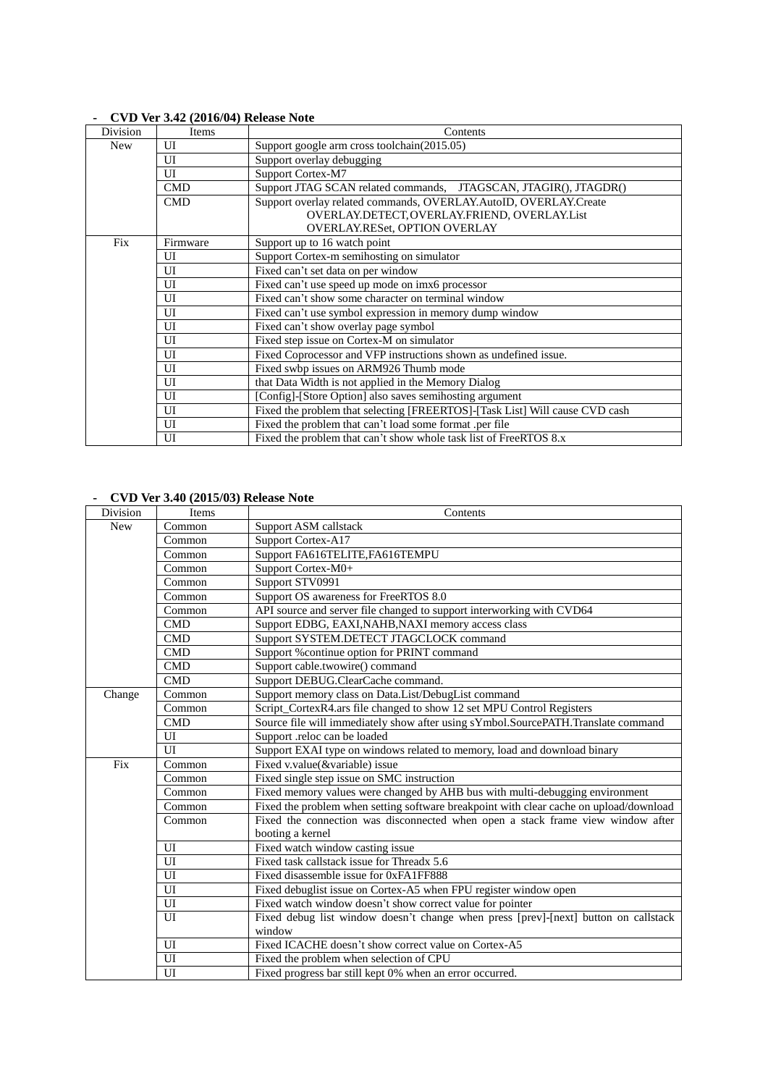| Division   | Items                 | Contents                                                                                                                                                 |
|------------|-----------------------|----------------------------------------------------------------------------------------------------------------------------------------------------------|
| <b>New</b> | UI                    | Support google arm cross toolchain(2015.05)                                                                                                              |
|            | UI                    | Support overlay debugging                                                                                                                                |
|            | UІ                    | Support Cortex-M7                                                                                                                                        |
|            | <b>CMD</b>            | Support JTAG SCAN related commands, JTAGSCAN, JTAGIR(), JTAGDR()                                                                                         |
|            | <b>CMD</b>            | Support overlay related commands, OVERLAY.AutoID, OVERLAY.Create<br>OVERLAY.DETECT, OVERLAY.FRIEND, OVERLAY.List<br><b>OVERLAY.RESet, OPTION OVERLAY</b> |
| Fix        | Firmware              | Support up to 16 watch point                                                                                                                             |
|            | UI                    | Support Cortex-m semihosting on simulator                                                                                                                |
|            | UI                    | Fixed can't set data on per window                                                                                                                       |
|            | UI                    | Fixed can't use speed up mode on imx6 processor                                                                                                          |
|            | UI                    | Fixed can't show some character on terminal window                                                                                                       |
|            | UI                    | Fixed can't use symbol expression in memory dump window                                                                                                  |
|            | UI                    | Fixed can't show overlay page symbol                                                                                                                     |
|            | UI                    | Fixed step issue on Cortex-M on simulator                                                                                                                |
|            | UI                    | Fixed Coprocessor and VFP instructions shown as undefined issue.                                                                                         |
|            | UI                    | Fixed swbp issues on ARM926 Thumb mode                                                                                                                   |
|            | UI                    | that Data Width is not applied in the Memory Dialog                                                                                                      |
|            | UI                    | [Config]-[Store Option] also saves semihosting argument                                                                                                  |
|            | $\overline{\text{U}}$ | Fixed the problem that selecting [FREERTOS]-[Task List] Will cause CVD cash                                                                              |
|            | UI                    | Fixed the problem that can't load some format .per file                                                                                                  |
|            | UI                    | Fixed the problem that can't show whole task list of FreeRTOS 8.x                                                                                        |

## **- CVD Ver 3.42 (2016/04) Release Note**

### **- CVD Ver 3.40 (2015/03) Release Note**

| Division   | Items          | Contents                                                                               |
|------------|----------------|----------------------------------------------------------------------------------------|
| <b>New</b> | Common         | Support ASM callstack                                                                  |
|            | Common         | Support Cortex-A17                                                                     |
|            | Common         | Support FA616TELITE, FA616TEMPU                                                        |
|            | Common         | Support Cortex-M0+                                                                     |
|            | Common         | Support STV0991                                                                        |
|            | Common         | Support OS awareness for FreeRTOS 8.0                                                  |
|            | Common         | API source and server file changed to support interworking with CVD64                  |
|            | <b>CMD</b>     | Support EDBG, EAXI, NAHB, NAXI memory access class                                     |
|            | <b>CMD</b>     | Support SYSTEM.DETECT JTAGCLOCK command                                                |
|            | <b>CMD</b>     | Support % continue option for PRINT command                                            |
|            | CMD            | Support cable.twowire() command                                                        |
|            | CMD            | Support DEBUG.ClearCache command.                                                      |
| Change     | Common         | Support memory class on Data.List/DebugList command                                    |
|            | Common         | Script_CortexR4.ars file changed to show 12 set MPU Control Registers                  |
|            | <b>CMD</b>     | Source file will immediately show after using sYmbol.SourcePATH.Translate command      |
|            | UI             | Support .reloc can be loaded                                                           |
|            | $\overline{U}$ | Support EXAI type on windows related to memory, load and download binary               |
| Fix        | Common         | Fixed v.value(&variable) issue                                                         |
|            | Common         | Fixed single step issue on SMC instruction                                             |
|            | Common         | Fixed memory values were changed by AHB bus with multi-debugging environment           |
|            | Common         | Fixed the problem when setting software breakpoint with clear cache on upload/download |
|            | Common         | Fixed the connection was disconnected when open a stack frame view window after        |
|            |                | booting a kernel                                                                       |
|            | UI             | Fixed watch window casting issue                                                       |
|            | UI             | Fixed task callstack issue for Threadx 5.6                                             |
|            | UI             | Fixed disassemble issue for 0xFA1FF888                                                 |
|            | UI             | Fixed debuglist issue on Cortex-A5 when FPU register window open                       |
|            | $\overline{U}$ | Fixed watch window doesn't show correct value for pointer                              |
|            | $\overline{U}$ | Fixed debug list window doesn't change when press [prev]-[next] button on callstack    |
|            |                | window                                                                                 |
|            | UI             | Fixed ICACHE doesn't show correct value on Cortex-A5                                   |
|            | UI             | Fixed the problem when selection of CPU                                                |
|            | $\overline{U}$ | Fixed progress bar still kept 0% when an error occurred.                               |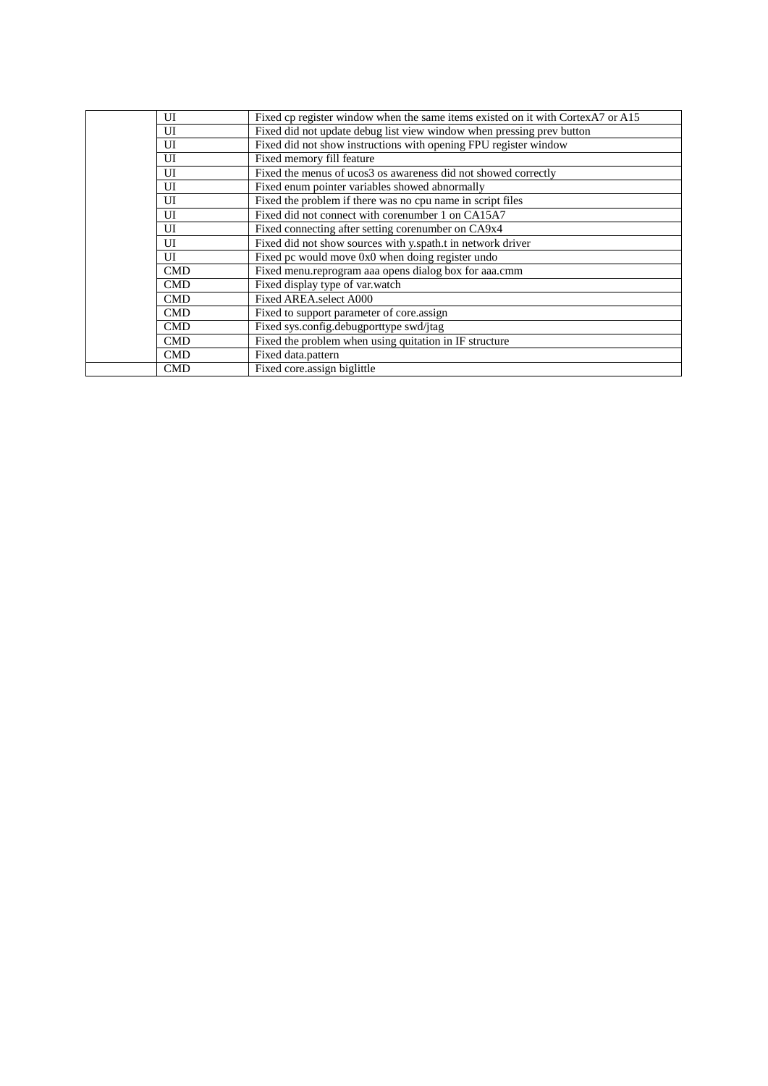|  | UI         | Fixed cp register window when the same items existed on it with CortexA7 or A15 |
|--|------------|---------------------------------------------------------------------------------|
|  | UI         | Fixed did not update debug list view window when pressing prev button           |
|  | UI         | Fixed did not show instructions with opening FPU register window                |
|  | UI         | Fixed memory fill feature                                                       |
|  | UI         | Fixed the menus of ucos3 os awareness did not showed correctly                  |
|  | UI         | Fixed enum pointer variables showed abnormally                                  |
|  | UI         | Fixed the problem if there was no cpu name in script files                      |
|  | UI         | Fixed did not connect with corenumber 1 on CA15A7                               |
|  | UI         | Fixed connecting after setting corenumber on CA9x4                              |
|  | UI         | Fixed did not show sources with y.spath.t in network driver                     |
|  | UI         | Fixed pc would move 0x0 when doing register undo                                |
|  | <b>CMD</b> | Fixed menu.reprogram aaa opens dialog box for aaa.cmm                           |
|  | <b>CMD</b> | Fixed display type of var.watch                                                 |
|  | <b>CMD</b> | Fixed AREA.select A000                                                          |
|  | <b>CMD</b> | Fixed to support parameter of core.assign                                       |
|  | <b>CMD</b> | Fixed sys.config.debugporttype swd/jtag                                         |
|  | <b>CMD</b> | Fixed the problem when using quitation in IF structure                          |
|  | <b>CMD</b> | Fixed data.pattern                                                              |
|  | <b>CMD</b> | Fixed core.assign biglittle                                                     |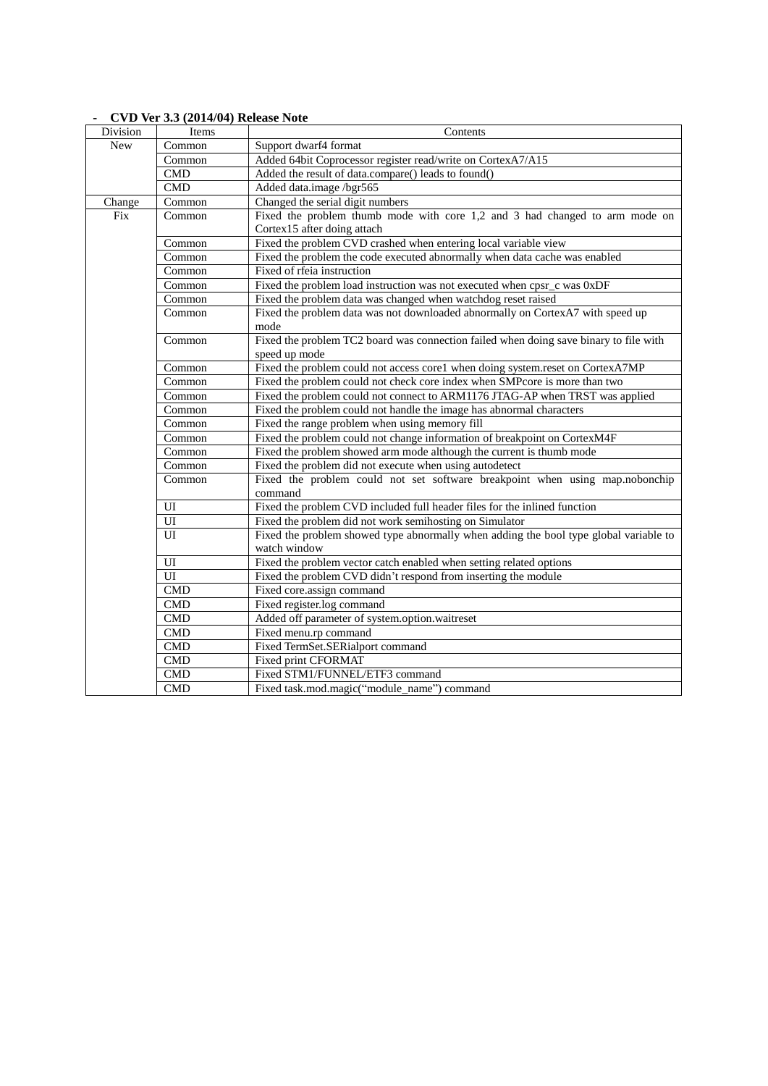|            | $C$ $D$ $V$ $C$ $D$ , $D$ $(201 + 0 + 1)$ Kerease From |                                                                                       |
|------------|--------------------------------------------------------|---------------------------------------------------------------------------------------|
| Division   | Items                                                  | Contents                                                                              |
| <b>New</b> | Common                                                 | Support dwarf4 format                                                                 |
|            | Common                                                 | Added 64bit Coprocessor register read/write on CortexA7/A15                           |
|            | <b>CMD</b>                                             | Added the result of data.compare() leads to found()                                   |
|            | <b>CMD</b>                                             | Added data.image /bgr565                                                              |
| Change     | Common                                                 | Changed the serial digit numbers                                                      |
| Fix        | Common                                                 | Fixed the problem thumb mode with core 1,2 and 3 had changed to arm mode on           |
|            |                                                        | Cortex15 after doing attach                                                           |
|            | Common                                                 | Fixed the problem CVD crashed when entering local variable view                       |
|            | Common                                                 | Fixed the problem the code executed abnormally when data cache was enabled            |
|            | Common                                                 | Fixed of rfeia instruction                                                            |
|            | Common                                                 | Fixed the problem load instruction was not executed when cpsr_c was 0xDF              |
|            | Common                                                 | Fixed the problem data was changed when watchdog reset raised                         |
|            | Common                                                 | Fixed the problem data was not downloaded abnormally on CortexA7 with speed up        |
|            |                                                        | mode                                                                                  |
|            | Common                                                 | Fixed the problem TC2 board was connection failed when doing save binary to file with |
|            |                                                        | speed up mode                                                                         |
|            | Common                                                 | Fixed the problem could not access core1 when doing system.reset on CortexA7MP        |
|            | Common                                                 | Fixed the problem could not check core index when SMPcore is more than two            |
|            | Common                                                 | Fixed the problem could not connect to ARM1176 JTAG-AP when TRST was applied          |
|            | Common                                                 | Fixed the problem could not handle the image has abnormal characters                  |
|            | Common                                                 | Fixed the range problem when using memory fill                                        |
|            | Common                                                 | Fixed the problem could not change information of breakpoint on CortexM4F             |
|            | Common                                                 | Fixed the problem showed arm mode although the current is thumb mode                  |
|            | Common                                                 | Fixed the problem did not execute when using autodetect                               |
|            | Common                                                 | Fixed the problem could not set software breakpoint when using map.nobonchip          |
|            |                                                        | command                                                                               |
|            | UI                                                     | Fixed the problem CVD included full header files for the inlined function             |
|            | UI                                                     | Fixed the problem did not work semihosting on Simulator                               |
|            | UI                                                     | Fixed the problem showed type abnormally when adding the bool type global variable to |
|            |                                                        | watch window                                                                          |
|            | $\overline{U}$                                         | Fixed the problem vector catch enabled when setting related options                   |
|            | UI                                                     | Fixed the problem CVD didn't respond from inserting the module                        |
|            | <b>CMD</b>                                             | Fixed core.assign command                                                             |
|            | $\overline{\text{CMD}}$                                | Fixed register.log command                                                            |
|            | <b>CMD</b>                                             | Added off parameter of system.option.waitreset                                        |
|            | <b>CMD</b>                                             | Fixed menu.rp command                                                                 |
|            | CMD                                                    | Fixed TermSet.SERialport command                                                      |
|            | CMD                                                    | Fixed print CFORMAT                                                                   |
|            | CMD                                                    | Fixed STM1/FUNNEL/ETF3 command                                                        |
|            | <b>CMD</b>                                             | Fixed task.mod.magic("module_name") command                                           |

#### **- CVD Ver 3.3 (2014/04) Release Note**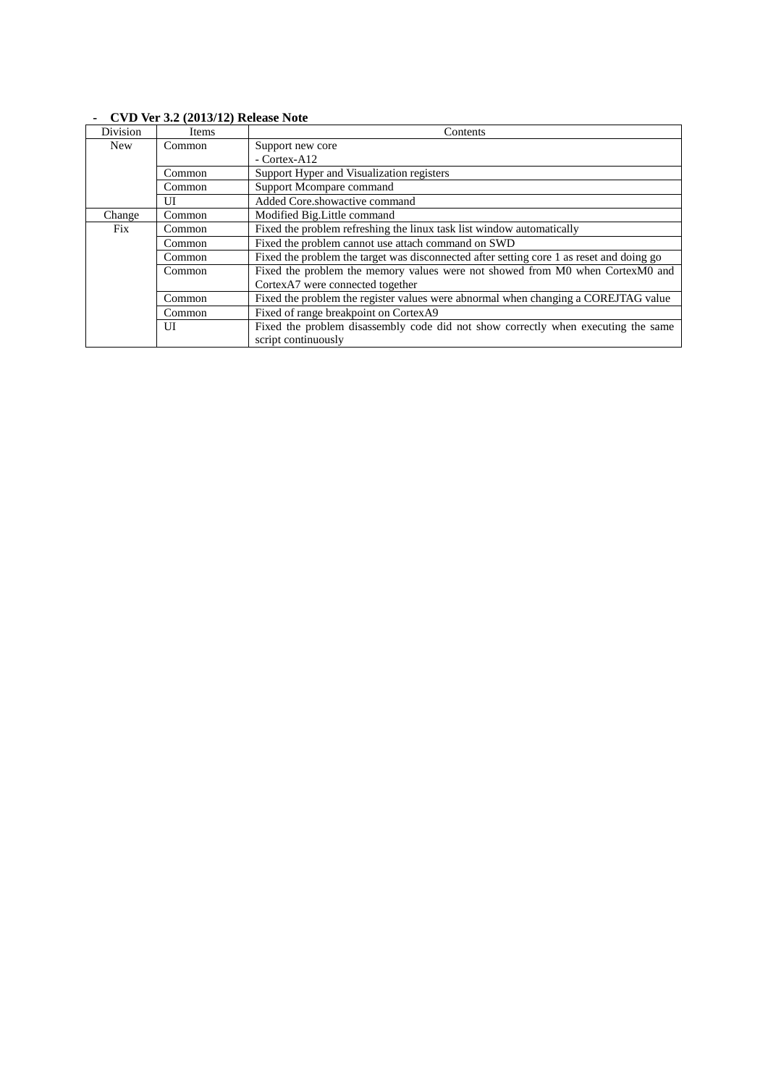| Division   | Items  | Contents                                                                                 |
|------------|--------|------------------------------------------------------------------------------------------|
| <b>New</b> | Common | Support new core                                                                         |
|            |        | - Cortex-A12                                                                             |
|            | Common | Support Hyper and Visualization registers                                                |
|            | Common | Support Mcompare command                                                                 |
|            | UІ     | Added Core.showactive command                                                            |
| Change     | Common | Modified Big. Little command                                                             |
| <b>Fix</b> | Common | Fixed the problem refreshing the linux task list window automatically                    |
|            | Common | Fixed the problem cannot use attach command on SWD                                       |
|            | Common | Fixed the problem the target was disconnected after setting core 1 as reset and doing go |
|            | Common | Fixed the problem the memory values were not showed from M0 when CortexM0 and            |
|            |        | CortexA7 were connected together                                                         |
|            | Common | Fixed the problem the register values were abnormal when changing a COREJTAG value       |
|            | Common | Fixed of range breakpoint on CortexA9                                                    |
|            | UI     | Fixed the problem disassembly code did not show correctly when executing the same        |
|            |        | script continuously                                                                      |

# **- CVD Ver 3.2 (2013/12) Release Note**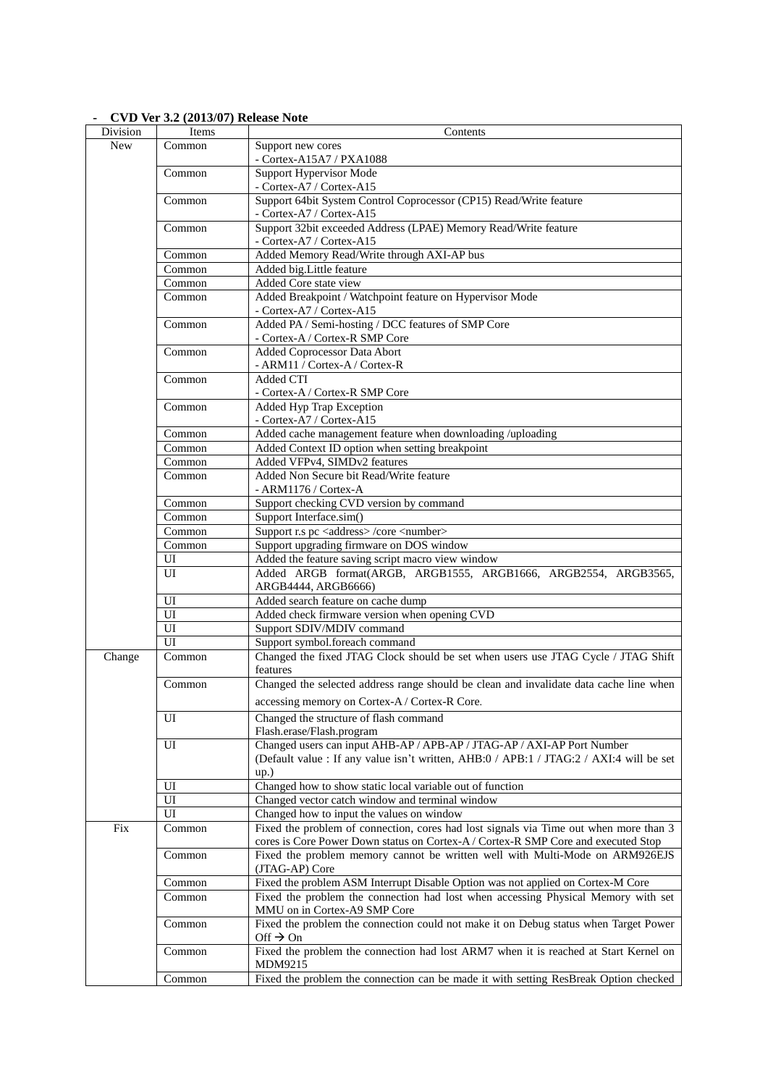| Division   | Items  | Contents                                                                                                                                                                   |
|------------|--------|----------------------------------------------------------------------------------------------------------------------------------------------------------------------------|
| <b>New</b> | Common | Support new cores                                                                                                                                                          |
|            |        | - Cortex-A15A7 / PXA1088                                                                                                                                                   |
|            | Common | Support Hypervisor Mode<br>- Cortex-A7 / Cortex-A15                                                                                                                        |
|            | Common | Support 64bit System Control Coprocessor (CP15) Read/Write feature<br>- Cortex-A7 / Cortex-A15                                                                             |
|            | Common | Support 32bit exceeded Address (LPAE) Memory Read/Write feature<br>- Cortex-A7 / Cortex-A15                                                                                |
|            | Common | Added Memory Read/Write through AXI-AP bus                                                                                                                                 |
|            | Common | Added big.Little feature                                                                                                                                                   |
|            | Common | Added Core state view                                                                                                                                                      |
|            | Common | Added Breakpoint / Watchpoint feature on Hypervisor Mode<br>- Cortex-A7 / Cortex-A15                                                                                       |
|            | Common | Added PA / Semi-hosting / DCC features of SMP Core<br>- Cortex-A / Cortex-R SMP Core                                                                                       |
|            | Common | Added Coprocessor Data Abort<br>- ARM11 / Cortex-A / Cortex-R                                                                                                              |
|            | Common | Added CTI<br>- Cortex-A / Cortex-R SMP Core                                                                                                                                |
|            | Common | Added Hyp Trap Exception<br>- Cortex-A7 / Cortex-A15                                                                                                                       |
|            | Common | Added cache management feature when downloading /uploading                                                                                                                 |
|            | Common | Added Context ID option when setting breakpoint                                                                                                                            |
|            | Common | Added VFPv4, SIMDv2 features                                                                                                                                               |
|            | Common | Added Non Secure bit Read/Write feature<br>- ARM1176 / Cortex-A                                                                                                            |
|            | Common | Support checking CVD version by command                                                                                                                                    |
|            | Common | Support Interface.sim()                                                                                                                                                    |
|            | Common | Support r.s pc <address>/core <number></number></address>                                                                                                                  |
|            | Common | Support upgrading firmware on DOS window                                                                                                                                   |
|            | UI     | Added the feature saving script macro view window                                                                                                                          |
|            | UI     | Added ARGB format(ARGB, ARGB1555, ARGB1666, ARGB2554, ARGB3565,<br>ARGB4444, ARGB6666)                                                                                     |
|            | UI     | Added search feature on cache dump                                                                                                                                         |
|            | UI     | Added check firmware version when opening CVD                                                                                                                              |
|            | UI     | Support SDIV/MDIV command                                                                                                                                                  |
|            | UI     | Support symbol.foreach command                                                                                                                                             |
| Change     | Common | Changed the fixed JTAG Clock should be set when users use JTAG Cycle / JTAG Shift<br>features                                                                              |
|            | Common | Changed the selected address range should be clean and invalidate data cache line when<br>accessing memory on Cortex-A / Cortex-R Core.                                    |
|            | UI     |                                                                                                                                                                            |
|            |        | Changed the structure of flash command<br>Flash.erase/Flash.program                                                                                                        |
|            | UI     | Changed users can input AHB-AP / APB-AP / JTAG-AP / AXI-AP Port Number<br>(Default value : If any value isn't written, AHB:0 / APB:1 / JTAG:2 / AXI:4 will be set<br>up.)  |
|            | UI     | Changed how to show static local variable out of function                                                                                                                  |
|            | UI     | Changed vector catch window and terminal window                                                                                                                            |
|            | UI     | Changed how to input the values on window                                                                                                                                  |
| Fix        | Common | Fixed the problem of connection, cores had lost signals via Time out when more than 3<br>cores is Core Power Down status on Cortex-A / Cortex-R SMP Core and executed Stop |
|            | Common | Fixed the problem memory cannot be written well with Multi-Mode on ARM926EJS<br>(JTAG-AP) Core                                                                             |
|            | Common | Fixed the problem ASM Interrupt Disable Option was not applied on Cortex-M Core                                                                                            |
|            | Common | Fixed the problem the connection had lost when accessing Physical Memory with set<br>MMU on in Cortex-A9 SMP Core                                                          |
|            | Common | Fixed the problem the connection could not make it on Debug status when Target Power<br>Off $\rightarrow$ On                                                               |
|            | Common | Fixed the problem the connection had lost ARM7 when it is reached at Start Kernel on<br>MDM9215                                                                            |
|            | Common | Fixed the problem the connection can be made it with setting ResBreak Option checked                                                                                       |

## **- CVD Ver 3.2 (2013/07) Release Note**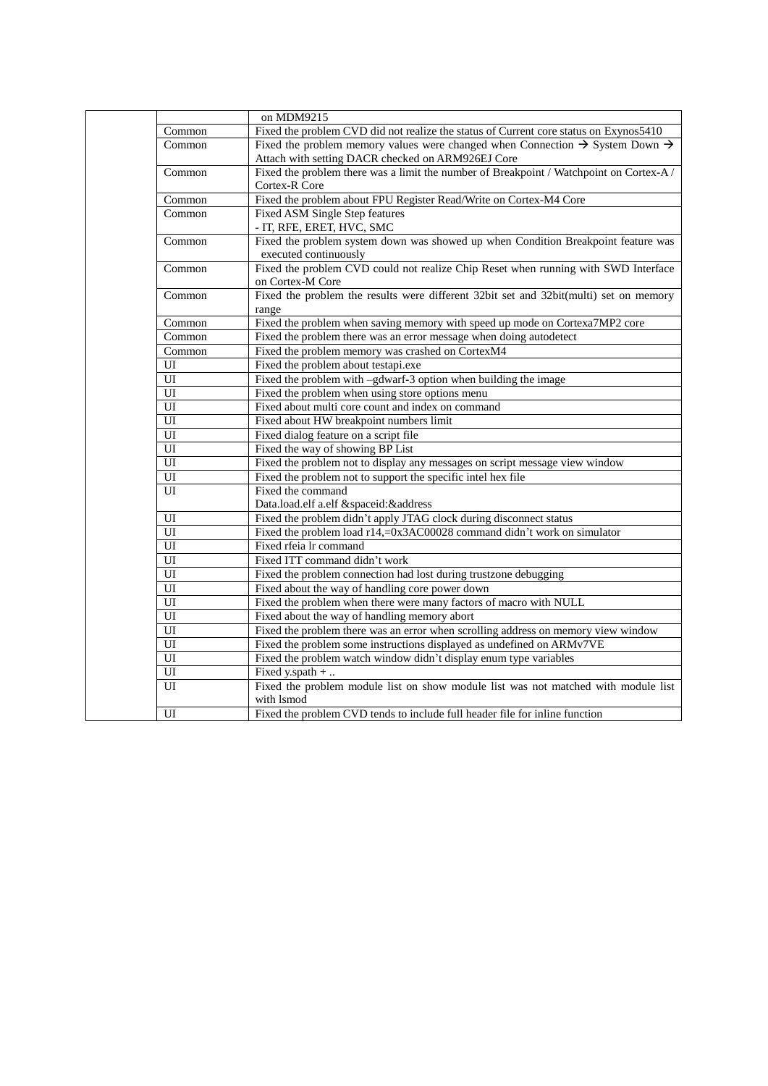|        | on MDM9215                                                                                           |
|--------|------------------------------------------------------------------------------------------------------|
| Common | Fixed the problem CVD did not realize the status of Current core status on Exynos5410                |
| Common | Fixed the problem memory values were changed when Connection $\rightarrow$ System Down $\rightarrow$ |
|        | Attach with setting DACR checked on ARM926EJ Core                                                    |
| Common | Fixed the problem there was a limit the number of Breakpoint / Watchpoint on Cortex-A /              |
|        | Cortex-R Core                                                                                        |
| Common | Fixed the problem about FPU Register Read/Write on Cortex-M4 Core                                    |
| Common | Fixed ASM Single Step features                                                                       |
|        | - IT, RFE, ERET, HVC, SMC                                                                            |
| Common | Fixed the problem system down was showed up when Condition Breakpoint feature was                    |
|        | executed continuously                                                                                |
| Common | Fixed the problem CVD could not realize Chip Reset when running with SWD Interface                   |
|        | on Cortex-M Core                                                                                     |
| Common | Fixed the problem the results were different 32bit set and 32bit(multi) set on memory                |
|        | range                                                                                                |
| Common | Fixed the problem when saving memory with speed up mode on Cortexa7MP2 core                          |
| Common | Fixed the problem there was an error message when doing autodetect                                   |
| Common | Fixed the problem memory was crashed on CortexM4                                                     |
| UI     | Fixed the problem about testapi.exe                                                                  |
| UI     | Fixed the problem with -gdwarf-3 option when building the image                                      |
| UI     | Fixed the problem when using store options menu                                                      |
| UI     | Fixed about multi core count and index on command                                                    |
| UI     | Fixed about HW breakpoint numbers limit                                                              |
| UI     | Fixed dialog feature on a script file                                                                |
| UI     | Fixed the way of showing BP List                                                                     |
| UI     | Fixed the problem not to display any messages on script message view window                          |
| UI     | Fixed the problem not to support the specific intel hex file                                         |
| UI     | Fixed the command                                                                                    |
|        | Data.load.elf a.elf &spaceid:&address                                                                |
| UI     | Fixed the problem didn't apply JTAG clock during disconnect status                                   |
| UI     | Fixed the problem load r14,=0x3AC00028 command didn't work on simulator                              |
| UI     | Fixed rfeia lr command                                                                               |
| UI     | Fixed ITT command didn't work                                                                        |
| UI     | Fixed the problem connection had lost during trustzone debugging                                     |
| UI     | Fixed about the way of handling core power down                                                      |
| UI     | Fixed the problem when there were many factors of macro with NULL                                    |
| UI     | Fixed about the way of handling memory abort                                                         |
| UI     | Fixed the problem there was an error when scrolling address on memory view window                    |
| UI     | Fixed the problem some instructions displayed as undefined on ARMv7VE                                |
| UI     | Fixed the problem watch window didn't display enum type variables                                    |
| UI     | Fixed y.spath +                                                                                      |
| UІ     | Fixed the problem module list on show module list was not matched with module list                   |
|        | with Ismod                                                                                           |
| UI     | Fixed the problem CVD tends to include full header file for inline function                          |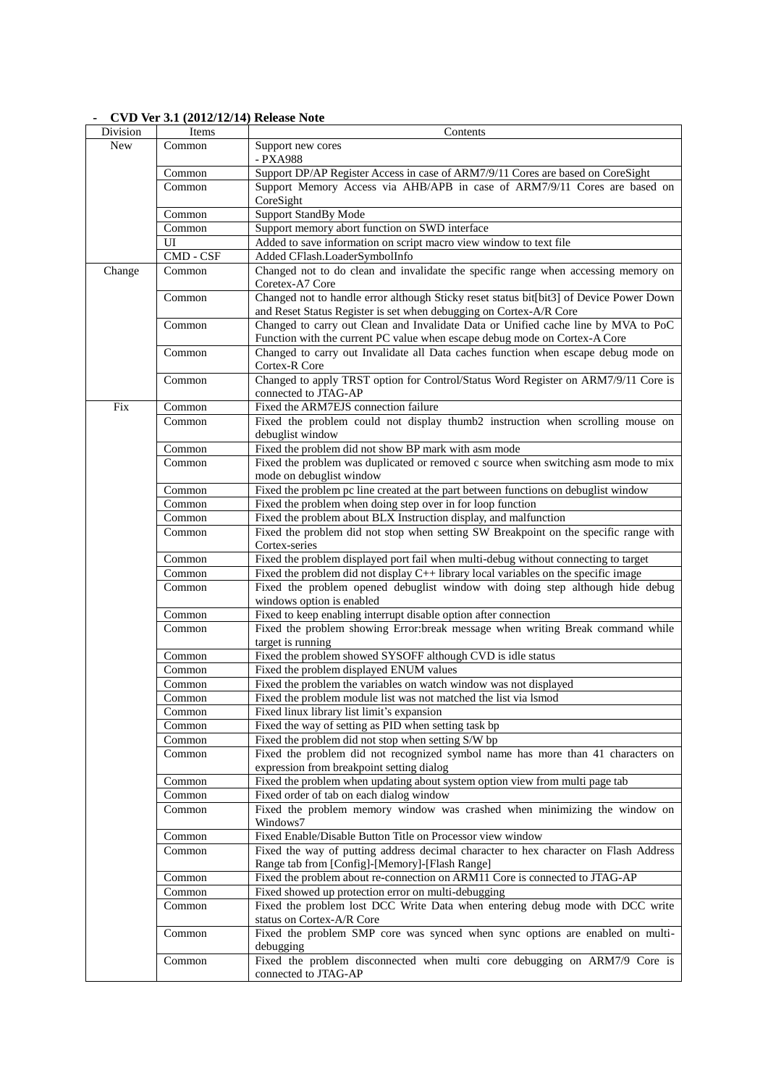| Division | Items               | Contents                                                                                |
|----------|---------------------|-----------------------------------------------------------------------------------------|
| New      | Common              | Support new cores                                                                       |
|          |                     | - PXA988                                                                                |
|          | $\overline{Common}$ | Support DP/AP Register Access in case of ARM7/9/11 Cores are based on CoreSight         |
|          | Common              | Support Memory Access via AHB/APB in case of ARM7/9/11 Cores are based on               |
|          |                     | CoreSight                                                                               |
|          | Common              | <b>Support StandBy Mode</b>                                                             |
|          | Common              | Support memory abort function on SWD interface                                          |
|          | UI                  | Added to save information on script macro view window to text file                      |
|          | CMD - CSF           | Added CFlash.LoaderSymbolInfo                                                           |
| Change   | Common              | Changed not to do clean and invalidate the specific range when accessing memory on      |
|          |                     | Coretex-A7 Core                                                                         |
|          | Common              | Changed not to handle error although Sticky reset status bit[bit3] of Device Power Down |
|          |                     | and Reset Status Register is set when debugging on Cortex-A/R Core                      |
|          | Common              | Changed to carry out Clean and Invalidate Data or Unified cache line by MVA to PoC      |
|          |                     | Function with the current PC value when escape debug mode on Cortex-A Core              |
|          | Common              | Changed to carry out Invalidate all Data caches function when escape debug mode on      |
|          |                     | Cortex-R Core                                                                           |
|          | Common              | Changed to apply TRST option for Control/Status Word Register on ARM7/9/11 Core is      |
|          |                     | connected to JTAG-AP                                                                    |
| Fix      | Common              | Fixed the ARM7EJS connection failure                                                    |
|          | Common              | Fixed the problem could not display thumb2 instruction when scrolling mouse on          |
|          |                     | debuglist window                                                                        |
|          | Common              | Fixed the problem did not show BP mark with asm mode                                    |
|          | Common              | Fixed the problem was duplicated or removed c source when switching asm mode to mix     |
|          |                     | mode on debuglist window                                                                |
|          | Common              | Fixed the problem pc line created at the part between functions on debuglist window     |
|          | Common              | Fixed the problem when doing step over in for loop function                             |
|          | Common              | Fixed the problem about BLX Instruction display, and malfunction                        |
|          | Common              | Fixed the problem did not stop when setting SW Breakpoint on the specific range with    |
|          |                     | Cortex-series                                                                           |
|          | Common              | Fixed the problem displayed port fail when multi-debug without connecting to target     |
|          | Common              | Fixed the problem did not display $C++$ library local variables on the specific image   |
|          | Common              | Fixed the problem opened debuglist window with doing step although hide debug           |
|          |                     | windows option is enabled                                                               |
|          | Common              | Fixed to keep enabling interrupt disable option after connection                        |
|          | Common              | Fixed the problem showing Error:break message when writing Break command while          |
|          |                     | target is running                                                                       |
|          | Common              | Fixed the problem showed SYSOFF although CVD is idle status                             |
|          | Common              | Fixed the problem displayed ENUM values                                                 |
|          | Common              | Fixed the problem the variables on watch window was not displayed                       |
|          | Common              | Fixed the problem module list was not matched the list via lamod                        |
|          | Common              | Fixed linux library list limit's expansion                                              |
|          | Common              | Fixed the way of setting as PID when setting task bp                                    |
|          | Common              | Fixed the problem did not stop when setting S/W bp                                      |
|          | Common              | Fixed the problem did not recognized symbol name has more than 41 characters on         |
|          |                     | expression from breakpoint setting dialog                                               |
|          | Common              | Fixed the problem when updating about system option view from multi page tab            |
|          | Common              | Fixed order of tab on each dialog window                                                |
|          | Common              | Fixed the problem memory window was crashed when minimizing the window on               |
|          |                     | Windows7                                                                                |
|          | Common              | Fixed Enable/Disable Button Title on Processor view window                              |
|          | Common              | Fixed the way of putting address decimal character to hex character on Flash Address    |
|          |                     | Range tab from [Config]-[Memory]-[Flash Range]                                          |
|          | Common              | Fixed the problem about re-connection on ARM11 Core is connected to JTAG-AP             |
|          | Common              | Fixed showed up protection error on multi-debugging                                     |
|          | Common              | Fixed the problem lost DCC Write Data when entering debug mode with DCC write           |
|          |                     | status on Cortex-A/R Core                                                               |
|          | Common              | Fixed the problem SMP core was synced when sync options are enabled on multi-           |
|          |                     | debugging                                                                               |
|          | Common              | Fixed the problem disconnected when multi core debugging on ARM7/9 Core is              |
|          |                     | connected to JTAG-AP                                                                    |

### **- CVD Ver 3.1 (2012/12/14) Release Note**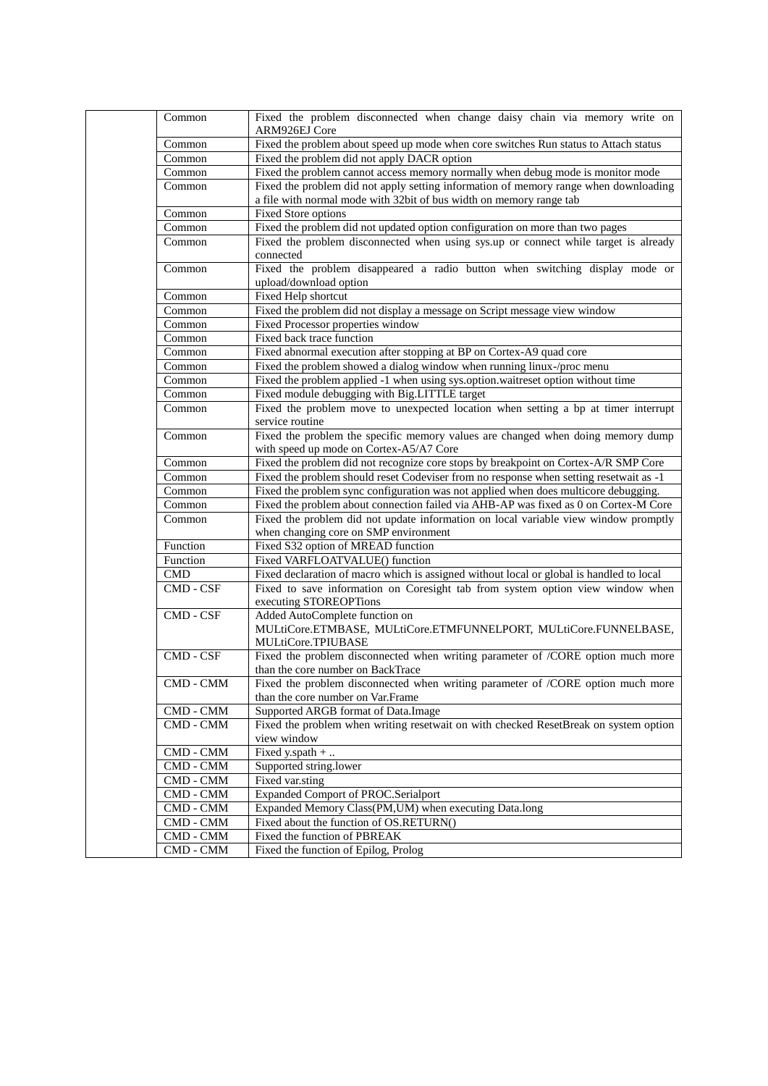| Common              | Fixed the problem disconnected when change daisy chain via memory write on<br>ARM926EJ Core                                                                 |
|---------------------|-------------------------------------------------------------------------------------------------------------------------------------------------------------|
| Common              | Fixed the problem about speed up mode when core switches Run status to Attach status                                                                        |
| Common              | Fixed the problem did not apply DACR option                                                                                                                 |
| Common              | Fixed the problem cannot access memory normally when debug mode is monitor mode                                                                             |
| Common              | Fixed the problem did not apply setting information of memory range when downloading<br>a file with normal mode with 32bit of bus width on memory range tab |
| Common              | Fixed Store options                                                                                                                                         |
| Common              | Fixed the problem did not updated option configuration on more than two pages                                                                               |
| Common              | Fixed the problem disconnected when using sys.up or connect while target is already                                                                         |
| Common              | connected<br>Fixed the problem disappeared a radio button when switching display mode or<br>upload/download option                                          |
| Common              | Fixed Help shortcut                                                                                                                                         |
| Common              | Fixed the problem did not display a message on Script message view window                                                                                   |
| Common              | Fixed Processor properties window                                                                                                                           |
| Common              | Fixed back trace function                                                                                                                                   |
| Common              | Fixed abnormal execution after stopping at BP on Cortex-A9 quad core                                                                                        |
| Common              | Fixed the problem showed a dialog window when running linux-/proc menu                                                                                      |
| Common              | Fixed the problem applied -1 when using sys.option.waitreset option without time                                                                            |
| Common              | Fixed module debugging with Big.LITTLE target                                                                                                               |
| Common              | Fixed the problem move to unexpected location when setting a bp at timer interrupt<br>service routine                                                       |
| $\overline{Common}$ | Fixed the problem the specific memory values are changed when doing memory dump<br>with speed up mode on Cortex-A5/A7 Core                                  |
| Common              | Fixed the problem did not recognize core stops by breakpoint on Cortex-A/R SMP Core                                                                         |
| Common              | Fixed the problem should reset Codeviser from no response when setting resetwait as -1                                                                      |
| Common              | Fixed the problem sync configuration was not applied when does multicore debugging.                                                                         |
| Common              | Fixed the problem about connection failed via AHB-AP was fixed as 0 on Cortex-M Core                                                                        |
| Common              | Fixed the problem did not update information on local variable view window promptly<br>when changing core on SMP environment                                |
| Function            | Fixed S32 option of MREAD function                                                                                                                          |
| Function            | Fixed VARFLOATVALUE() function                                                                                                                              |
| CMD                 | Fixed declaration of macro which is assigned without local or global is handled to local                                                                    |
| CMD - CSF           | Fixed to save information on Coresight tab from system option view window when<br>executing STOREOPTions                                                    |
| CMD - CSF           | Added AutoComplete function on<br>MULtiCore.ETMBASE, MULtiCore.ETMFUNNELPORT, MULtiCore.FUNNELBASE,<br>MULtiCore.TPIUBASE                                   |
| CMD - CSF           | Fixed the problem disconnected when writing parameter of /CORE option much more<br>than the core number on BackTrace                                        |
| CMD - CMM           | Fixed the problem disconnected when writing parameter of /CORE option much more<br>than the core number on Var.Frame                                        |
| CMD - CMM           | Supported ARGB format of Data.Image                                                                                                                         |
| CMD - CMM           | Fixed the problem when writing resetwait on with checked ResetBreak on system option<br>view window                                                         |
| $CMD$ - $CMM$       | Fixed y.spath +                                                                                                                                             |
| CMD - CMM           | Supported string.lower                                                                                                                                      |
| CMD - CMM           | Fixed var.sting                                                                                                                                             |
| CMD - CMM           | Expanded Comport of PROC.Serialport                                                                                                                         |
| CMD - CMM           | Expanded Memory Class(PM,UM) when executing Data.long                                                                                                       |
| CMD - CMM           | Fixed about the function of OS.RETURN()                                                                                                                     |
| CMD - CMM           | Fixed the function of PBREAK                                                                                                                                |
| CMD - CMM           | Fixed the function of Epilog, Prolog                                                                                                                        |
|                     |                                                                                                                                                             |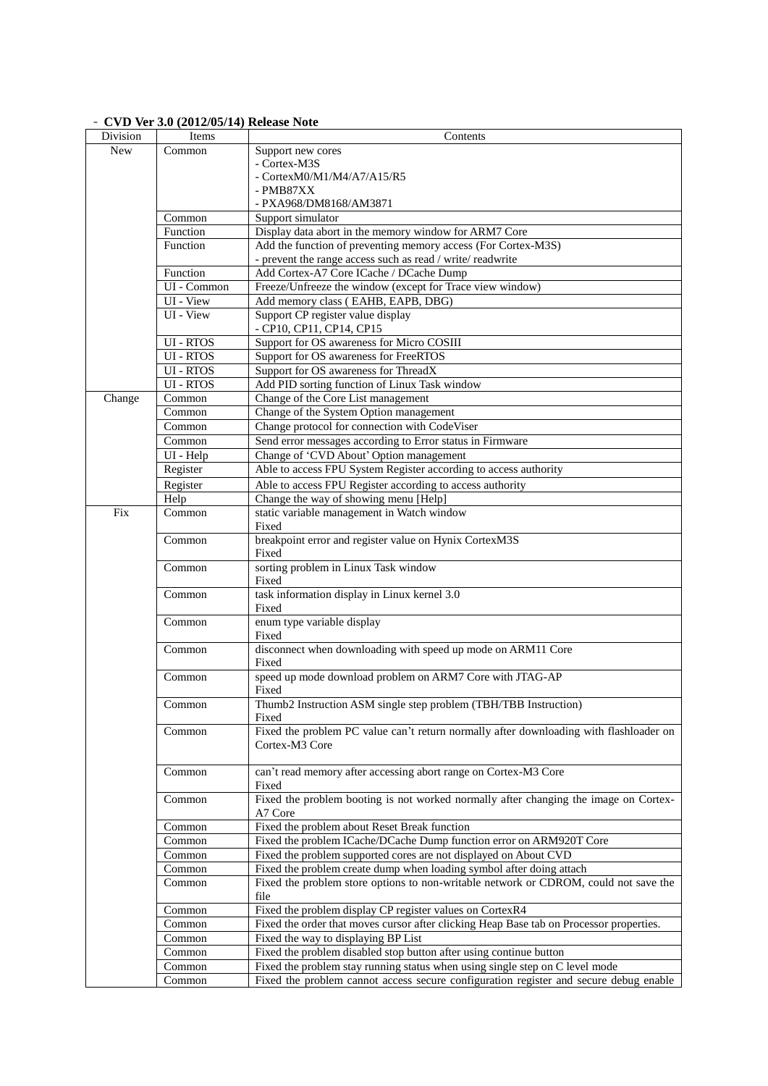| Division   | Items            | Contents                                                                                                 |
|------------|------------------|----------------------------------------------------------------------------------------------------------|
| <b>New</b> | Common           | Support new cores                                                                                        |
|            |                  | - Cortex-M3S                                                                                             |
|            |                  | - Cortex $M0/M1/M4/A7/A15/R5$                                                                            |
|            |                  | - PMB87XX                                                                                                |
|            |                  | - PXA968/DM8168/AM3871                                                                                   |
|            | Common           | Support simulator                                                                                        |
|            | Function         | Display data abort in the memory window for ARM7 Core                                                    |
|            | Function         | Add the function of preventing memory access (For Cortex-M3S)                                            |
|            |                  | - prevent the range access such as read / write/ readwrite                                               |
|            | Function         | Add Cortex-A7 Core ICache / DCache Dump                                                                  |
|            | UI - Common      | Freeze/Unfreeze the window (except for Trace view window)                                                |
|            | UI - View        | Add memory class (EAHB, EAPB, DBG)                                                                       |
|            | UI - View        | Support CP register value display<br>- CP10, CP11, CP14, CP15                                            |
|            | UI - RTOS        | Support for OS awareness for Micro COSIII                                                                |
|            | <b>UI - RTOS</b> | Support for OS awareness for FreeRTOS                                                                    |
|            | UI - RTOS        | Support for OS awareness for ThreadX                                                                     |
|            | <b>UI</b> - RTOS | Add PID sorting function of Linux Task window                                                            |
| Change     | Common           | Change of the Core List management                                                                       |
|            | Common           | Change of the System Option management                                                                   |
|            | Common           | Change protocol for connection with CodeViser                                                            |
|            | Common           | Send error messages according to Error status in Firmware                                                |
|            | UI - Help        | Change of 'CVD About' Option management                                                                  |
|            | Register         | Able to access FPU System Register according to access authority                                         |
|            | Register         | Able to access FPU Register according to access authority                                                |
|            | Help             | Change the way of showing menu [Help]                                                                    |
| Fix        | Common           | static variable management in Watch window                                                               |
|            |                  | Fixed                                                                                                    |
|            | Common           | breakpoint error and register value on Hynix CortexM3S<br>Fixed                                          |
|            | Common           | sorting problem in Linux Task window<br>Fixed                                                            |
|            | Common           | task information display in Linux kernel 3.0<br>Fixed                                                    |
|            | Common           | enum type variable display<br>Fixed                                                                      |
|            | Common           | disconnect when downloading with speed up mode on ARM11 Core<br>Fixed                                    |
|            | Common           | speed up mode download problem on ARM7 Core with JTAG-AP<br>Fixed                                        |
|            | Common           | Thumb2 Instruction ASM single step problem (TBH/TBB Instruction)<br>Fixed                                |
|            | Common           | Fixed the problem PC value can't return normally after downloading with flashloader on<br>Cortex-M3 Core |
|            | Common           | can't read memory after accessing abort range on Cortex-M3 Core<br>Fixed                                 |
|            | Common           | Fixed the problem booting is not worked normally after changing the image on Cortex-<br>A7 Core          |
|            | Common           | Fixed the problem about Reset Break function                                                             |
|            | Common           | Fixed the problem ICache/DCache Dump function error on ARM920T Core                                      |
|            | Common           | Fixed the problem supported cores are not displayed on About CVD                                         |
|            | Common           | Fixed the problem create dump when loading symbol after doing attach                                     |
|            | Common           | Fixed the problem store options to non-writable network or CDROM, could not save the<br>file             |
|            | Common           | Fixed the problem display CP register values on CortexR4                                                 |
|            | Common           | Fixed the order that moves cursor after clicking Heap Base tab on Processor properties.                  |
|            | Common           | Fixed the way to displaying BP List                                                                      |
|            | Common           | Fixed the problem disabled stop button after using continue button                                       |
|            | Common           | Fixed the problem stay running status when using single step on C level mode                             |
|            | Common           | Fixed the problem cannot access secure configuration register and secure debug enable                    |

## - **CVD Ver 3.0 (2012/05/14) Release Note**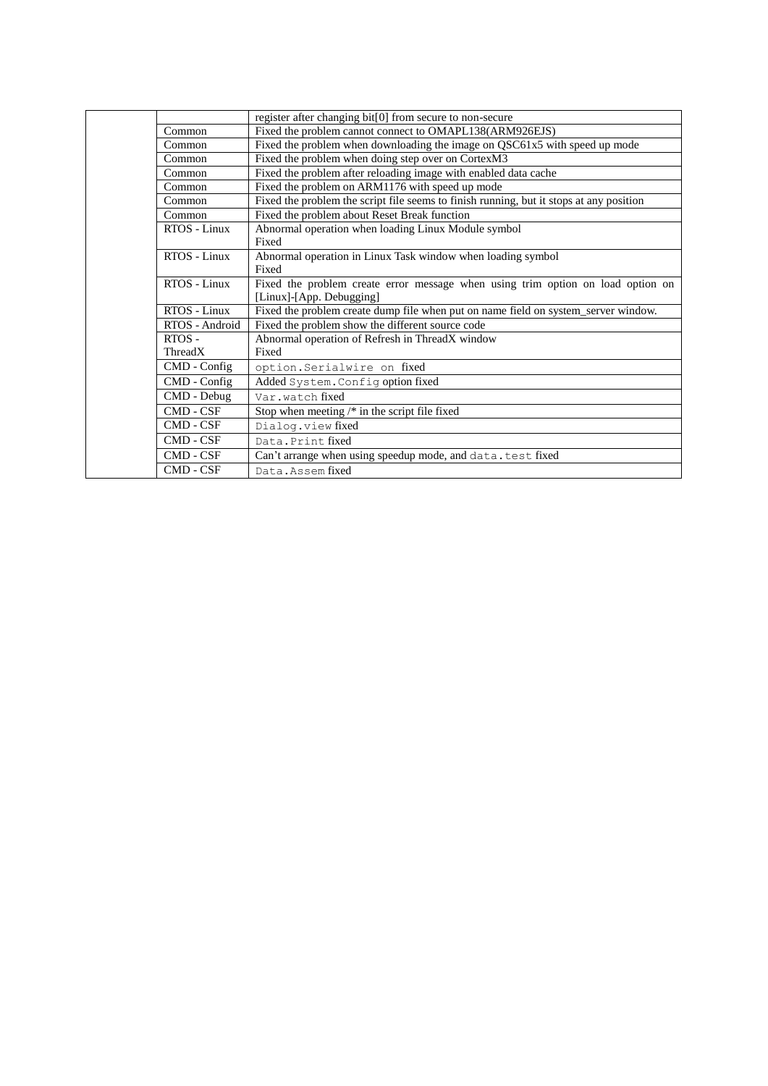|                  | register after changing bit[0] from secure to non-secure                                |
|------------------|-----------------------------------------------------------------------------------------|
| Common           | Fixed the problem cannot connect to OMAPL138(ARM926EJS)                                 |
| Common           | Fixed the problem when downloading the image on QSC61x5 with speed up mode              |
| Common           | Fixed the problem when doing step over on CortexM3                                      |
| Common           | Fixed the problem after reloading image with enabled data cache                         |
| Common           | Fixed the problem on ARM1176 with speed up mode                                         |
| Common           | Fixed the problem the script file seems to finish running, but it stops at any position |
| Common           | Fixed the problem about Reset Break function                                            |
| RTOS - Linux     | Abnormal operation when loading Linux Module symbol                                     |
|                  | Fixed                                                                                   |
| RTOS - Linux     | Abnormal operation in Linux Task window when loading symbol                             |
|                  | Fixed                                                                                   |
| RTOS - Linux     | Fixed the problem create error message when using trim option on load option on         |
|                  | [Linux]-[App. Debugging]                                                                |
| RTOS - Linux     | Fixed the problem create dump file when put on name field on system_server window.      |
| RTOS - Android   | Fixed the problem show the different source code                                        |
| $RTOS -$         | Abnormal operation of Refresh in ThreadX window                                         |
| ThreadX          | Fixed                                                                                   |
| $CMD$ - $Config$ | option.Serialwire on fixed                                                              |
| CMD - Config     | Added System. Config option fixed                                                       |
| CMD - Debug      | Var.watchfixed                                                                          |
| CMD - CSF        | Stop when meeting /* in the script file fixed                                           |
| CMD - CSF        | Dialog.view fixed                                                                       |
| CMD - CSF        | Data, Print fixed                                                                       |
| CMD - CSF        | Can't arrange when using speedup mode, and data. test fixed                             |
| CMD - CSF        | Data. Assem fixed                                                                       |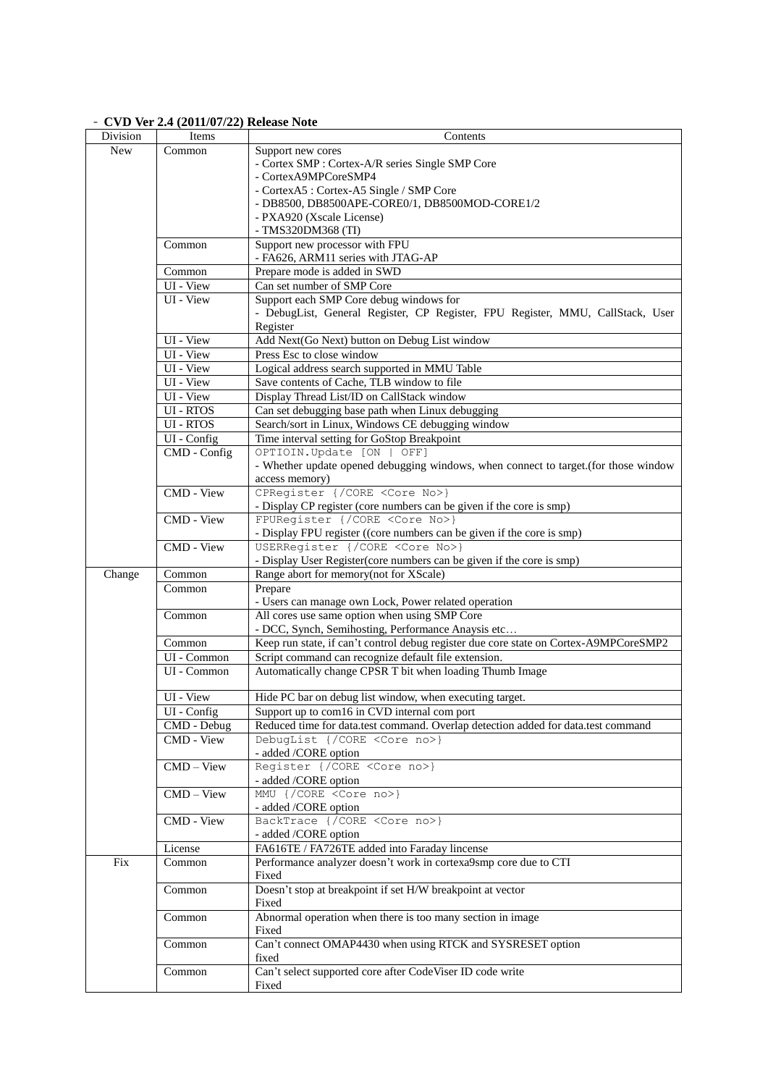## - **CVD Ver 2.4 (2011/07/22) Release Note**

| Division   | Items        | Contents                                                                              |
|------------|--------------|---------------------------------------------------------------------------------------|
| <b>New</b> | Common       | Support new cores                                                                     |
|            |              | - Cortex SMP : Cortex-A/R series Single SMP Core                                      |
|            |              | - CortexA9MPCoreSMP4                                                                  |
|            |              | - CortexA5: Cortex-A5 Single / SMP Core                                               |
|            |              | - DB8500, DB8500APE-CORE0/1, DB8500MOD-CORE1/2                                        |
|            |              | - PXA920 (Xscale License)                                                             |
|            |              | - TMS320DM368 (TI)                                                                    |
|            | Common       | Support new processor with FPU                                                        |
|            |              | - FA626, ARM11 series with JTAG-AP                                                    |
|            | Common       | Prepare mode is added in SWD                                                          |
|            | $UI - View$  | Can set number of SMP Core                                                            |
|            | UI - View    | Support each SMP Core debug windows for                                               |
|            |              | - DebugList, General Register, CP Register, FPU Register, MMU, CallStack, User        |
|            |              | Register                                                                              |
|            | UI - View    | Add Next(Go Next) button on Debug List window                                         |
|            | UI - View    | Press Esc to close window                                                             |
|            | UI - View    | Logical address search supported in MMU Table                                         |
|            | UI - View    | Save contents of Cache, TLB window to file                                            |
|            | UI - View    | Display Thread List/ID on CallStack window                                            |
|            | UI - RTOS    | Can set debugging base path when Linux debugging                                      |
|            | UI - RTOS    | Search/sort in Linux, Windows CE debugging window                                     |
|            | UI - Config  | Time interval setting for GoStop Breakpoint                                           |
|            | CMD - Config | OPTIOIN.Update [ON   OFF]                                                             |
|            |              | - Whether update opened debugging windows, when connect to target.(for those window   |
|            |              | access memory)                                                                        |
|            | CMD - View   | CPRegister {/CORE <core no="">}</core>                                                |
|            |              | - Display CP register (core numbers can be given if the core is smp)                  |
|            | CMD - View   | FPURegister {/CORE <core no="">}</core>                                               |
|            |              | - Display FPU register ((core numbers can be given if the core is smp)                |
|            | CMD - View   | USERRegister {/CORE <core no="">}</core>                                              |
|            |              | - Display User Register (core numbers can be given if the core is smp)                |
| Change     | Common       | Range abort for memory(not for XScale)                                                |
|            | Common       | Prepare                                                                               |
|            |              | - Users can manage own Lock, Power related operation                                  |
|            | Common       | All cores use same option when using SMP Core                                         |
|            |              | - DCC, Synch, Semihosting, Performance Anaysis etc                                    |
|            | Common       | Keep run state, if can't control debug register due core state on Cortex-A9MPCoreSMP2 |
|            | UI - Common  | Script command can recognize default file extension.                                  |
|            | UI - Common  | Automatically change CPSR T bit when loading Thumb Image                              |
|            |              | Hide PC bar on debug list window, when executing target.                              |
|            | UI - View    |                                                                                       |
|            | UI - Config  | Support up to com16 in CVD internal comport                                           |
|            | CMD - Debug  | Reduced time for data.test command. Overlap detection added for data.test command     |
|            | CMD - View   | DebugList {/CORE <core no="">}</core>                                                 |
|            |              | - added /CORE option                                                                  |
|            | $CMD - View$ | Register {/CORE <core no="">}</core>                                                  |
|            | $CMD - View$ | - added /CORE option<br>MMU {/CORE <core no="">}</core>                               |
|            |              | - added /CORE option                                                                  |
|            | CMD - View   | BackTrace {/CORE <core no="">}</core>                                                 |
|            |              | - added /CORE option                                                                  |
|            | License      | FA616TE / FA726TE added into Faraday lincense                                         |
| Fix        | Common       | Performance analyzer doesn't work in cortexa9smp core due to CTI                      |
|            |              | Fixed                                                                                 |
|            | Common       | Doesn't stop at breakpoint if set H/W breakpoint at vector                            |
|            |              | Fixed                                                                                 |
|            | Common       | Abnormal operation when there is too many section in image                            |
|            |              | Fixed                                                                                 |
|            | Common       | Can't connect OMAP4430 when using RTCK and SYSRESET option                            |
|            |              | fixed                                                                                 |
|            | Common       | Can't select supported core after CodeViser ID code write                             |
|            |              | Fixed                                                                                 |
|            |              |                                                                                       |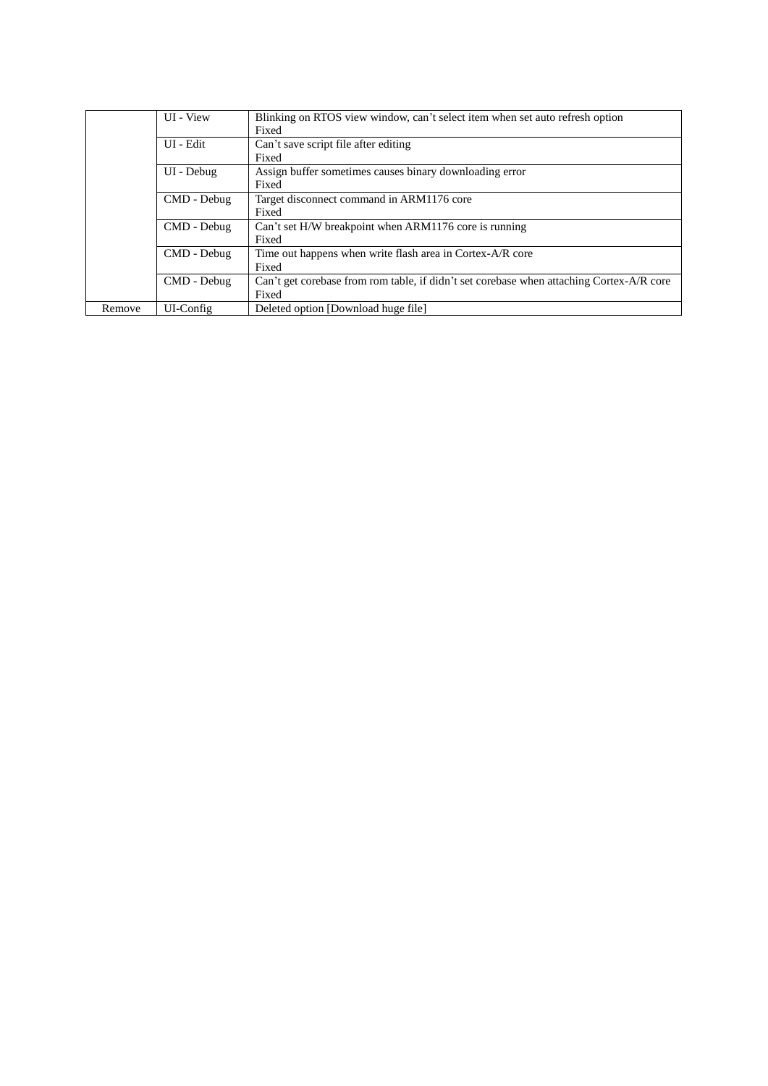|        | UI - View   | Blinking on RTOS view window, can't select item when set auto refresh option             |
|--------|-------------|------------------------------------------------------------------------------------------|
|        |             | Fixed                                                                                    |
|        | UI - Edit   | Can't save script file after editing                                                     |
|        |             | Fixed                                                                                    |
|        | UI - Debug  | Assign buffer sometimes causes binary downloading error                                  |
|        |             | Fixed                                                                                    |
|        | CMD - Debug | Target disconnect command in ARM1176 core                                                |
|        |             | Fixed                                                                                    |
|        | CMD - Debug | Can't set H/W breakpoint when ARM1176 core is running                                    |
|        |             | Fixed                                                                                    |
|        | CMD - Debug | Time out happens when write flash area in Cortex-A/R core                                |
|        |             | Fixed                                                                                    |
|        | CMD - Debug | Can't get corebase from rom table, if didn't set corebase when attaching Cortex-A/R core |
|        |             | Fixed                                                                                    |
| Remove | UI-Config   | Deleted option [Download huge file]                                                      |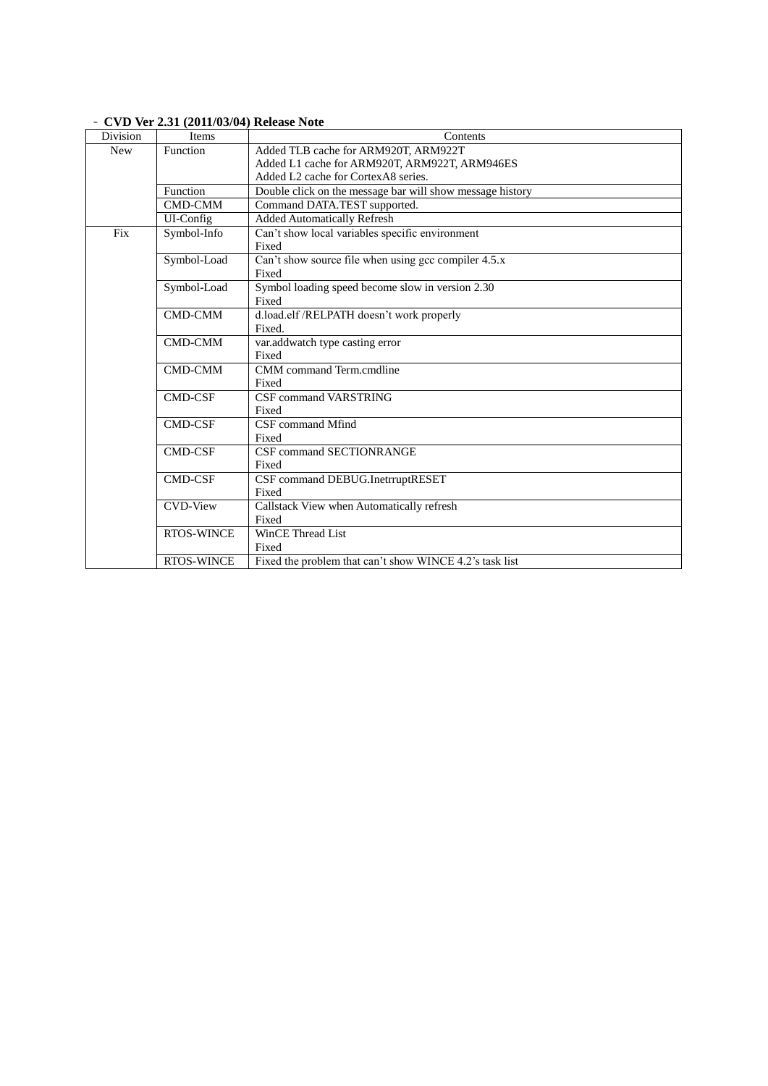| Division   | Items             | Contents                                                  |
|------------|-------------------|-----------------------------------------------------------|
| <b>New</b> | Function          | Added TLB cache for ARM920T, ARM922T                      |
|            |                   | Added L1 cache for ARM920T, ARM922T, ARM946ES             |
|            |                   | Added L2 cache for CortexA8 series.                       |
|            | Function          | Double click on the message bar will show message history |
|            | <b>CMD-CMM</b>    | Command DATA.TEST supported.                              |
|            | UI-Config         | <b>Added Automatically Refresh</b>                        |
| Fix        | Symbol-Info       | Can't show local variables specific environment           |
|            |                   | Fixed                                                     |
|            | Symbol-Load       | Can't show source file when using gcc compiler 4.5.x      |
|            |                   | Fixed                                                     |
|            | Symbol-Load       | Symbol loading speed become slow in version 2.30          |
|            |                   | Fixed                                                     |
|            | <b>CMD-CMM</b>    | d.load.elf /RELPATH doesn't work properly                 |
|            |                   | Fixed.                                                    |
|            | <b>CMD-CMM</b>    | var.addwatch type casting error                           |
|            |                   | Fixed                                                     |
|            | <b>CMD-CMM</b>    | CMM command Term.cmdline                                  |
|            |                   | Fixed                                                     |
|            | <b>CMD-CSF</b>    | <b>CSF command VARSTRING</b>                              |
|            |                   | Fixed                                                     |
|            | <b>CMD-CSF</b>    | CSF command Mfind                                         |
|            |                   | Fixed                                                     |
|            | <b>CMD-CSF</b>    | <b>CSF command SECTIONRANGE</b>                           |
|            |                   | Fixed                                                     |
|            | <b>CMD-CSF</b>    | CSF command DEBUG.InetrruptRESET                          |
|            |                   | Fixed                                                     |
|            | <b>CVD-View</b>   | Callstack View when Automatically refresh                 |
|            |                   | Fixed                                                     |
|            | <b>RTOS-WINCE</b> | WinCE Thread List                                         |
|            |                   | Fixed                                                     |
|            | <b>RTOS-WINCE</b> | Fixed the problem that can't show WINCE 4.2's task list   |

## - **CVD Ver 2.31 (2011/03/04) Release Note**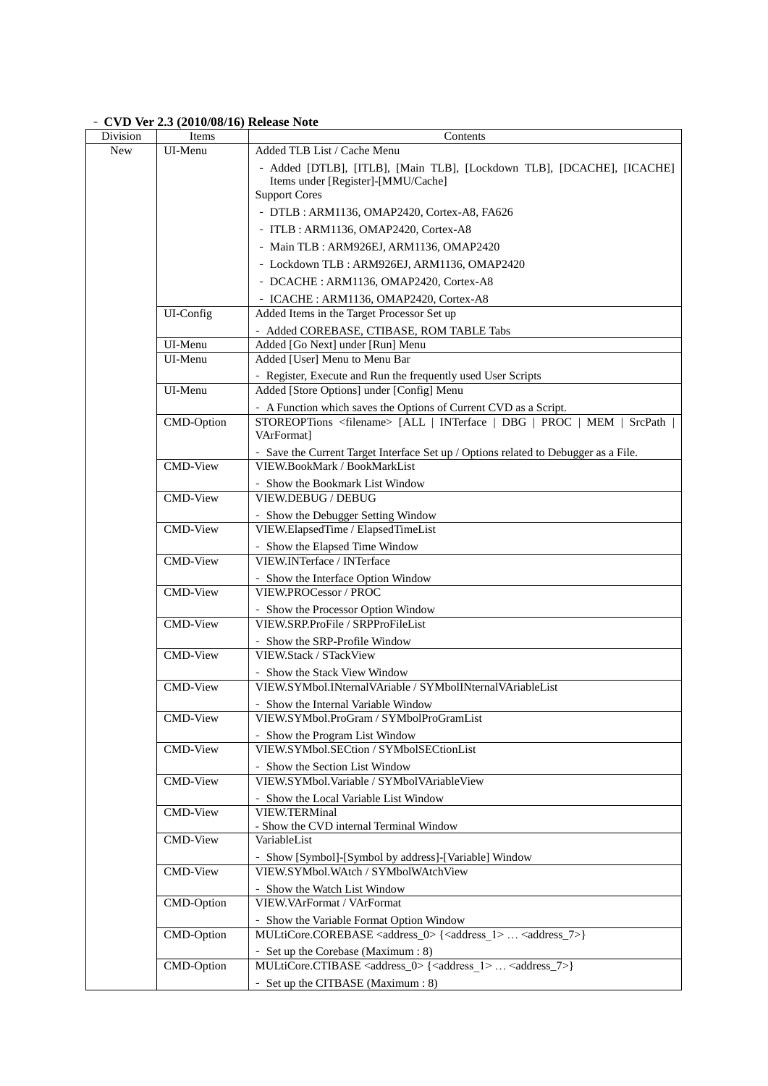# - **CVD Ver 2.3 (2010/08/16) Release Note**

| Division   | Items             | Contents                                                                                                            |
|------------|-------------------|---------------------------------------------------------------------------------------------------------------------|
| <b>New</b> | UI-Menu           | Added TLB List / Cache Menu                                                                                         |
|            |                   | - Added [DTLB], [ITLB], [Main TLB], [Lockdown TLB], [DCACHE], [ICACHE]                                              |
|            |                   | Items under [Register]-[MMU/Cache]                                                                                  |
|            |                   | <b>Support Cores</b>                                                                                                |
|            |                   | - DTLB : ARM1136, OMAP2420, Cortex-A8, FA626                                                                        |
|            |                   | - ITLB : ARM1136, OMAP2420, Cortex-A8                                                                               |
|            |                   | - Main TLB : ARM926EJ, ARM1136, OMAP2420                                                                            |
|            |                   | - Lockdown TLB: ARM926EJ, ARM1136, OMAP2420                                                                         |
|            |                   | - DCACHE : ARM1136, OMAP2420, Cortex-A8                                                                             |
|            |                   | - ICACHE : ARM1136, OMAP2420, Cortex-A8                                                                             |
|            | UI-Config         | Added Items in the Target Processor Set up                                                                          |
|            |                   | - Added COREBASE, CTIBASE, ROM TABLE Tabs                                                                           |
|            | UI-Menu           | Added [Go Next] under [Run] Menu                                                                                    |
|            | UI-Menu           | Added [User] Menu to Menu Bar                                                                                       |
|            |                   | - Register, Execute and Run the frequently used User Scripts                                                        |
|            | UI-Menu           | Added [Store Options] under [Config] Menu                                                                           |
|            |                   | - A Function which saves the Options of Current CVD as a Script.                                                    |
|            | <b>CMD-Option</b> | STOREOPTions <filename> [ALL   INTerface   DBG   PROC   MEM  <br/>SrcPath</filename>                                |
|            |                   | VArFormat]                                                                                                          |
|            | <b>CMD-View</b>   | - Save the Current Target Interface Set up / Options related to Debugger as a File.<br>VIEW.BookMark / BookMarkList |
|            |                   |                                                                                                                     |
|            | <b>CMD-View</b>   | - Show the Bookmark List Window<br><b>VIEW.DEBUG / DEBUG</b>                                                        |
|            |                   | - Show the Debugger Setting Window                                                                                  |
|            | <b>CMD-View</b>   | VIEW.ElapsedTime / ElapsedTimeList                                                                                  |
|            |                   | - Show the Elapsed Time Window                                                                                      |
|            | <b>CMD-View</b>   | VIEW.INTerface / INTerface                                                                                          |
|            |                   | - Show the Interface Option Window                                                                                  |
|            | CMD-View          | VIEW.PROCessor / PROC                                                                                               |
|            |                   | - Show the Processor Option Window                                                                                  |
|            | <b>CMD-View</b>   | VIEW.SRP.ProFile / SRPProFileList                                                                                   |
|            |                   | - Show the SRP-Profile Window                                                                                       |
|            | <b>CMD-View</b>   | VIEW.Stack / STackView                                                                                              |
|            |                   | - Show the Stack View Window                                                                                        |
|            | <b>CMD-View</b>   | VIEW.SYMbol.INternalVAriable / SYMbolINternalVAriableList                                                           |
|            |                   | - Show the Internal Variable Window                                                                                 |
|            | CMD-View          | VIEW.SYMbol.ProGram / SYMbolProGramList                                                                             |
|            |                   | - Show the Program List Window                                                                                      |
|            | <b>CMD-View</b>   | VIEW.SYMbol.SECtion / SYMbolSECtionList                                                                             |
|            |                   | - Show the Section List Window                                                                                      |
|            | <b>CMD-View</b>   | VIEW.SYMbol.Variable / SYMbolVAriableView                                                                           |
|            | <b>CMD-View</b>   | - Show the Local Variable List Window<br><b>VIEW.TERMinal</b>                                                       |
|            |                   | - Show the CVD internal Terminal Window                                                                             |
|            | <b>CMD-View</b>   | VariableList                                                                                                        |
|            |                   | - Show [Symbol]-[Symbol by address]-[Variable] Window                                                               |
|            | <b>CMD-View</b>   | VIEW.SYMbol.WAtch / SYMbolWAtchView                                                                                 |
|            |                   | - Show the Watch List Window                                                                                        |
|            | <b>CMD-Option</b> | VIEW. VArFormat / VArFormat                                                                                         |
|            |                   | - Show the Variable Format Option Window                                                                            |
|            | CMD-Option        | MULtiCore.COREBASE <address_0>{<address_1> <address_7>}</address_7></address_1></address_0>                         |
|            |                   | - Set up the Corebase (Maximum: 8)                                                                                  |
|            | CMD-Option        | MULtiCore.CTIBASE <address_0>{<address_1> <address_7>}</address_7></address_1></address_0>                          |
|            |                   | - Set up the CITBASE (Maximum: 8)                                                                                   |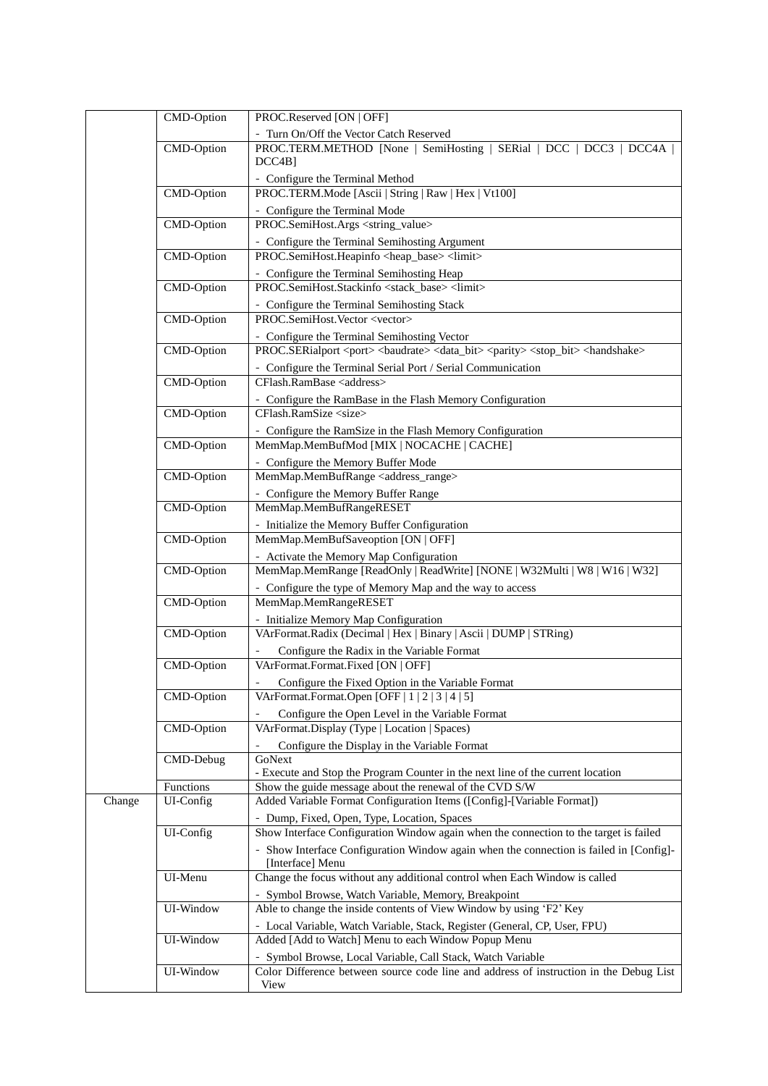|        | CMD-Option             | PROC.Reserved [ON   OFF]                                                                                                                    |
|--------|------------------------|---------------------------------------------------------------------------------------------------------------------------------------------|
|        |                        | - Turn On/Off the Vector Catch Reserved                                                                                                     |
|        | <b>CMD-Option</b>      | PROC.TERM.METHOD [None   SemiHosting   SERial   DCC   DCC3   DCC4A  <br>$DCC4B$ ]                                                           |
|        |                        | - Configure the Terminal Method                                                                                                             |
|        | <b>CMD-Option</b>      | PROC.TERM.Mode [Ascii   String   Raw   Hex   Vt100]                                                                                         |
|        |                        | - Configure the Terminal Mode                                                                                                               |
|        | <b>CMD-Option</b>      | PROC.SemiHost.Args <string_value></string_value>                                                                                            |
|        |                        | - Configure the Terminal Semihosting Argument                                                                                               |
|        | <b>CMD-Option</b>      | PROC.SemiHost.Heapinfo <heap_base> <limit></limit></heap_base>                                                                              |
|        |                        | - Configure the Terminal Semihosting Heap                                                                                                   |
|        | <b>CMD-Option</b>      | PROC.SemiHost.Stackinfo <stack_base> <limit></limit></stack_base>                                                                           |
|        |                        | - Configure the Terminal Semihosting Stack                                                                                                  |
|        | <b>CMD-Option</b>      | PROC.SemiHost.Vector <vector></vector>                                                                                                      |
|        |                        | - Configure the Terminal Semihosting Vector                                                                                                 |
|        | <b>CMD-Option</b>      | PROC.SERialport <port> <br/> <br/>baudrate&gt; <data_bit> <parity> <stop_bit> <handshake></handshake></stop_bit></parity></data_bit></port> |
|        | CMD-Option             | - Configure the Terminal Serial Port / Serial Communication<br>CFlash.RamBase <address></address>                                           |
|        |                        |                                                                                                                                             |
|        | <b>CMD-Option</b>      | - Configure the RamBase in the Flash Memory Configuration<br>CFlash.RamSize <size></size>                                                   |
|        |                        | - Configure the RamSize in the Flash Memory Configuration                                                                                   |
|        | CMD-Option             | MemMap.MemBufMod [MIX   NOCACHE   CACHE]                                                                                                    |
|        |                        | - Configure the Memory Buffer Mode                                                                                                          |
|        | <b>CMD-Option</b>      | MemMap.MemBufRange <address_range></address_range>                                                                                          |
|        |                        | - Configure the Memory Buffer Range                                                                                                         |
|        | <b>CMD-Option</b>      | MemMap.MemBufRangeRESET                                                                                                                     |
|        |                        | - Initialize the Memory Buffer Configuration                                                                                                |
|        | CMD-Option             | MemMap.MemBufSaveoption [ON   OFF]                                                                                                          |
|        |                        | - Activate the Memory Map Configuration                                                                                                     |
|        | CMD-Option             | MemMap.MemRange [ReadOnly   ReadWrite] [NONE   W32Multi   W8   W16   W32]                                                                   |
|        |                        | - Configure the type of Memory Map and the way to access                                                                                    |
|        | <b>CMD-Option</b>      | MemMap.MemRangeRESET                                                                                                                        |
|        | <b>CMD-Option</b>      | - Initialize Memory Map Configuration<br>VArFormat.Radix (Decimal   Hex   Binary   Ascii   DUMP   STRing)                                   |
|        |                        | Configure the Radix in the Variable Format                                                                                                  |
|        | <b>CMD-Option</b>      | VArFormat.Format.Fixed [ON   OFF]                                                                                                           |
|        |                        | Configure the Fixed Option in the Variable Format                                                                                           |
|        | <b>CMD-Option</b>      | VArFormat.Format.Open [OFF   1   2   3   4   5]                                                                                             |
|        |                        | Configure the Open Level in the Variable Format                                                                                             |
|        | <b>CMD-Option</b>      | VArFormat.Display (Type   Location   Spaces)                                                                                                |
|        |                        | Configure the Display in the Variable Format                                                                                                |
|        | CMD-Debug              | GoNext                                                                                                                                      |
|        |                        | - Execute and Stop the Program Counter in the next line of the current location<br>Show the guide message about the renewal of the CVD S/W  |
| Change | Functions<br>UI-Config | Added Variable Format Configuration Items ([Config]-[Variable Format])                                                                      |
|        |                        | - Dump, Fixed, Open, Type, Location, Spaces                                                                                                 |
|        | UI-Config              | Show Interface Configuration Window again when the connection to the target is failed                                                       |
|        |                        | - Show Interface Configuration Window again when the connection is failed in [Config]-                                                      |
|        |                        | [Interface] Menu                                                                                                                            |
|        | UI-Menu                | Change the focus without any additional control when Each Window is called                                                                  |
|        |                        | - Symbol Browse, Watch Variable, Memory, Breakpoint                                                                                         |
|        | UI-Window              | Able to change the inside contents of View Window by using 'F2' Key                                                                         |
|        |                        | - Local Variable, Watch Variable, Stack, Register (General, CP, User, FPU)                                                                  |
|        | UI-Window              | Added [Add to Watch] Menu to each Window Popup Menu                                                                                         |
|        | UI-Window              | - Symbol Browse, Local Variable, Call Stack, Watch Variable                                                                                 |
|        |                        | Color Difference between source code line and address of instruction in the Debug List<br>View                                              |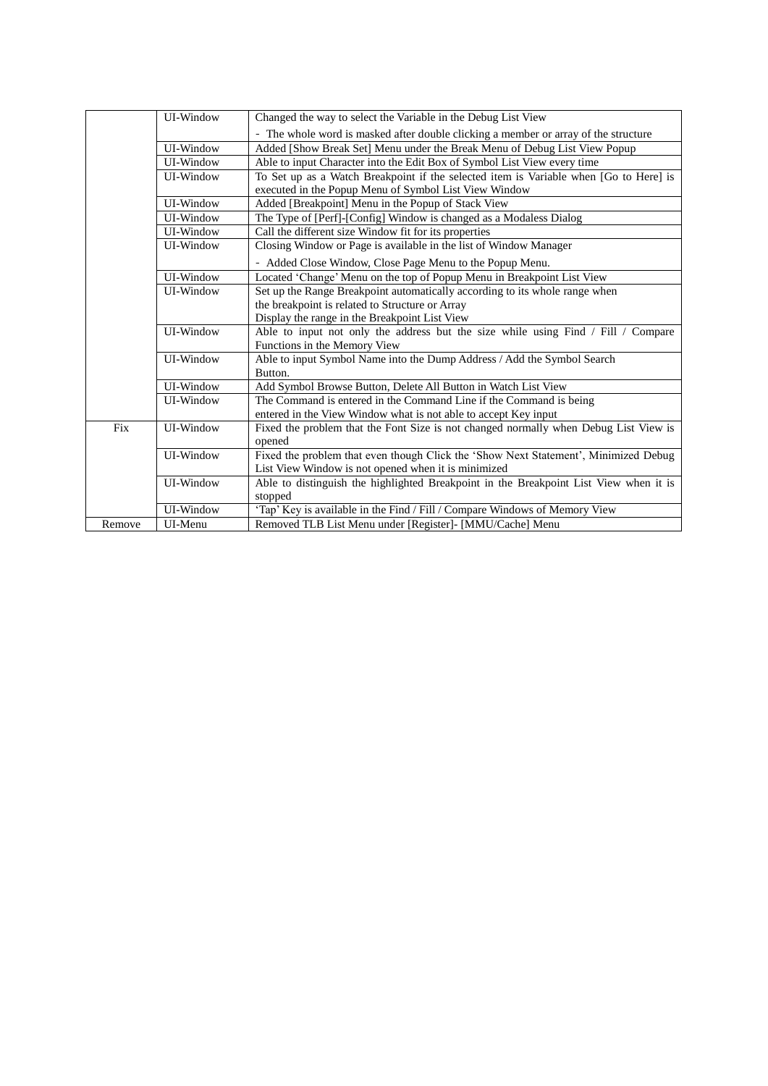|        | UI-Window | Changed the way to select the Variable in the Debug List View                         |
|--------|-----------|---------------------------------------------------------------------------------------|
|        |           | - The whole word is masked after double clicking a member or array of the structure   |
|        | UI-Window | Added [Show Break Set] Menu under the Break Menu of Debug List View Popup             |
|        | UI-Window | Able to input Character into the Edit Box of Symbol List View every time              |
|        | UI-Window | To Set up as a Watch Breakpoint if the selected item is Variable when [Go to Here] is |
|        |           | executed in the Popup Menu of Symbol List View Window                                 |
|        | UI-Window | Added [Breakpoint] Menu in the Popup of Stack View                                    |
|        | UI-Window | The Type of [Perf]-[Config] Window is changed as a Modaless Dialog                    |
|        | UI-Window | Call the different size Window fit for its properties                                 |
|        | UI-Window | Closing Window or Page is available in the list of Window Manager                     |
|        |           | - Added Close Window, Close Page Menu to the Popup Menu.                              |
|        | UI-Window | Located 'Change' Menu on the top of Popup Menu in Breakpoint List View                |
|        | UI-Window | Set up the Range Breakpoint automatically according to its whole range when           |
|        |           | the breakpoint is related to Structure or Array                                       |
|        |           | Display the range in the Breakpoint List View                                         |
|        | UI-Window | Able to input not only the address but the size while using Find / Fill / Compare     |
|        |           | Functions in the Memory View                                                          |
|        | UI-Window | Able to input Symbol Name into the Dump Address / Add the Symbol Search               |
|        |           | Button.                                                                               |
|        | UI-Window | Add Symbol Browse Button, Delete All Button in Watch List View                        |
|        | UI-Window | The Command is entered in the Command Line if the Command is being                    |
|        |           | entered in the View Window what is not able to accept Key input                       |
| Fix    | UI-Window | Fixed the problem that the Font Size is not changed normally when Debug List View is  |
|        |           | opened                                                                                |
|        | UI-Window | Fixed the problem that even though Click the 'Show Next Statement', Minimized Debug   |
|        |           | List View Window is not opened when it is minimized                                   |
|        | UI-Window | Able to distinguish the highlighted Breakpoint in the Breakpoint List View when it is |
|        |           | stopped                                                                               |
|        | UI-Window | 'Tap' Key is available in the Find / Fill / Compare Windows of Memory View            |
| Remove | UI-Menu   | Removed TLB List Menu under [Register]- [MMU/Cache] Menu                              |